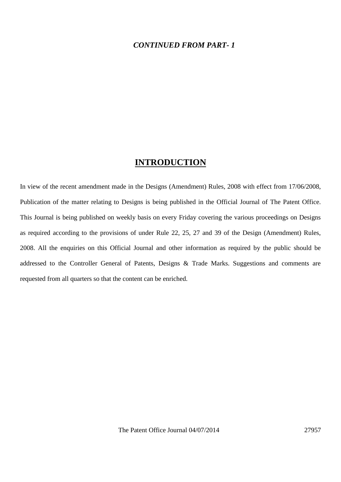### *CONTINUED FROM PART- 1*

### **INTRODUCTION**

In view of the recent amendment made in the Designs (Amendment) Rules, 2008 with effect from 17/06/2008, Publication of the matter relating to Designs is being published in the Official Journal of The Patent Office. This Journal is being published on weekly basis on every Friday covering the various proceedings on Designs as required according to the provisions of under Rule 22, 25, 27 and 39 of the Design (Amendment) Rules, 2008. All the enquiries on this Official Journal and other information as required by the public should be addressed to the Controller General of Patents, Designs & Trade Marks. Suggestions and comments are requested from all quarters so that the content can be enriched.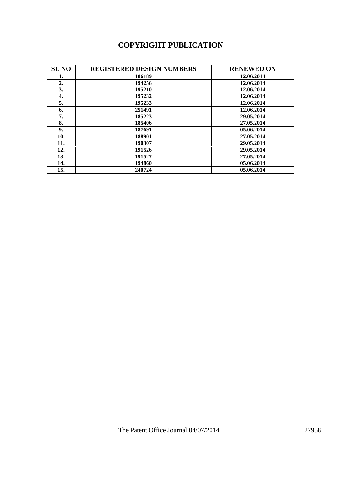# **COPYRIGHT PUBLICATION**

| <b>SL NO</b>     | <b>REGISTERED DESIGN NUMBERS</b> | <b>RENEWED ON</b> |
|------------------|----------------------------------|-------------------|
| 1.               | 186189                           | 12.06.2014        |
| $\overline{2}$ . | 194256                           | 12.06.2014        |
| 3.               | 195210                           | 12.06.2014        |
| 4.               | 195232                           | 12.06.2014        |
| 5.               | 195233                           | 12.06.2014        |
| 6.               | 251491                           | 12.06.2014        |
| 7.               | 185223                           | 29.05.2014        |
| 8.               | 185406                           | 27.05.2014        |
| 9.               | 187691                           | 05.06.2014        |
| 10.              | 188901                           | 27.05.2014        |
| 11.              | 190307                           | 29.05.2014        |
| 12.              | 191526                           | 29.05.2014        |
| 13.              | 191527                           | 27.05.2014        |
| 14.              | 194860                           | 05.06.2014        |
| 15.              | 240724                           | 05.06.2014        |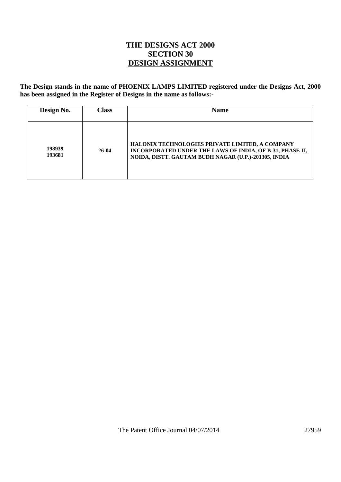## **THE DESIGNS ACT 2000 SECTION 30 DESIGN ASSIGNMENT**

**The Design stands in the name of PHOENIX LAMPS LIMITED registered under the Designs Act, 2000 has been assigned in the Register of Designs in the name as follows:-**

| Design No.       | <b>Class</b> | <b>Name</b>                                                                                                                                                         |
|------------------|--------------|---------------------------------------------------------------------------------------------------------------------------------------------------------------------|
| 198939<br>193681 | 26-04        | HALONIX TECHNOLOGIES PRIVATE LIMITED, A COMPANY<br>INCORPORATED UNDER THE LAWS OF INDIA, OF B-31, PHASE-II,<br>NOIDA, DISTT. GAUTAM BUDH NAGAR (U.P.)-201305, INDIA |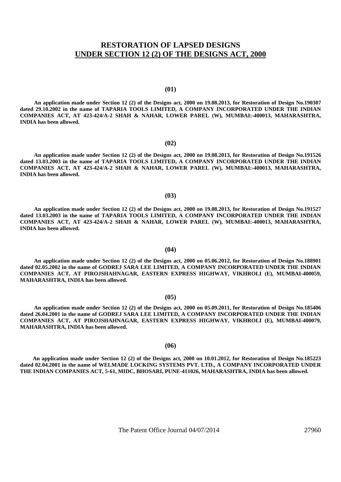### **RESTORATION OF LAPSED DESIGNS UNDER SECTION 12 (2) OF THE DESIGNS ACT, 2000**

#### **(01)**

**An application made under Section 12 (2) of the Designs act, 2000 on 19.08.2013, for Restoration of Design No.190307 dated 29.10.2002 in the name of TAPARIA TOOLS LIMITED, A COMPANY INCORPORATED UNDER THE INDIAN COMPANIES ACT, AT 423-424/A-2 SHAH & NAHAR, LOWER PAREL (W), MUMBAI:-400013, MAHARASHTRA, INDIA has been allowed.**

#### **(02)**

 **An application made under Section 12 (2) of the Designs act, 2000 on 19.08.2013, for Restoration of Design No.191526 dated 13.03.2003 in the name of TAPARIA TOOLS LIMITED, A COMPANY INCORPORATED UNDER THE INDIAN COMPANIES ACT, AT 423-424/A-2 SHAH & NAHAR, LOWER PAREL (W), MUMBAI:-400013, MAHARASHTRA, INDIA has been allowed.**

#### **(03)**

 **An application made under Section 12 (2) of the Designs act, 2000 on 19.08.2013, for Restoration of Design No.191527 dated 13.03.2003 in the name of TAPARIA TOOLS LIMITED, A COMPANY INCORPORATED UNDER THE INDIAN COMPANIES ACT, AT 423-424/A-2 SHAH & NAHAR, LOWER PAREL (W), MUMBAI:-400013, MAHARASHTRA, INDIA has been allowed.**

 **An application made under Section 12 (2) of the Designs act, 2000 on 05.06.2012, for Restoration of Design No.188901 dated 02.05.2002 in the name of GODREJ SARA LEE LIMITED, A COMPANY INCORPORATED UNDER THE INDIAN COMPANIES ACT, AT PIROJSHAHNAGAR, EASTERN EXPRESS HIGHWAY, VIKHROLI (E), MUMBAI-400059, MAHARASHTRA, INDIA has been allowed.**

**(04)**

#### **(05)**

 **An application made under Section 12 (2) of the Designs act, 2000 on 05.09.2011, for Restoration of Design No.185406 dated 26.04.2001 in the name of GODREJ SARA LEE LIMITED, A COMPANY INCORPORATED UNDER THE INDIAN COMPANIES ACT, AT PIROJSHAHNAGAR, EASTERN EXPRESS HIGHWAY, VIKHROLI (E), MUMBAI-400079, MAHARASHTRA, INDIA has been allowed.**

#### **(06)**

 **An application made under Section 12 (2) of the Designs act, 2000 on 10.01.2012, for Restoration of Design No.185223 dated 02.04.2001 in the name of WELMADE LOCKING SYSTEMS PVT. LTD., A COMPANY INCORPORATED UNDER THE INDIAN COMPANIES ACT, 5-61, MIDC, BHOSARI, PUNE-411026, MAHARASHTRA, INDIA has been allowed.**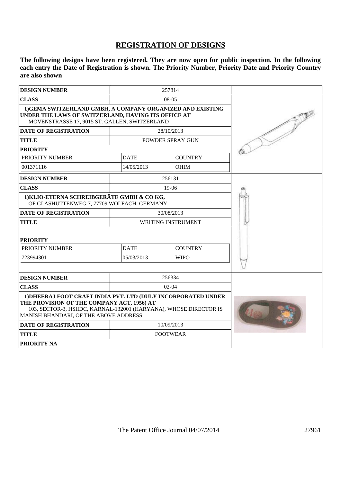## **REGISTRATION OF DESIGNS**

**The following designs have been registered. They are now open for public inspection. In the following each entry the Date of Registration is shown. The Priority Number, Priority Date and Priority Country are also shown**

| <b>DESIGN NUMBER</b>                                                                                                                                                                                                      | 257814      |                    |  |
|---------------------------------------------------------------------------------------------------------------------------------------------------------------------------------------------------------------------------|-------------|--------------------|--|
| <b>CLASS</b>                                                                                                                                                                                                              |             |                    |  |
| 1) GEMA SWITZERLAND GMBH, A COMPANY ORGANIZED AND EXISTING<br>UNDER THE LAWS OF SWITZERLAND, HAVING ITS OFFICE AT<br>MOVENSTRASSE 17, 9015 ST. GALLEN, SWITZERLAND                                                        |             |                    |  |
| <b>DATE OF REGISTRATION</b>                                                                                                                                                                                               |             | 28/10/2013         |  |
| <b>TITLE</b>                                                                                                                                                                                                              |             | POWDER SPRAY GUN   |  |
| <b>PRIORITY</b>                                                                                                                                                                                                           |             |                    |  |
| PRIORITY NUMBER                                                                                                                                                                                                           | <b>DATE</b> | <b>COUNTRY</b>     |  |
| 001371116                                                                                                                                                                                                                 | 14/05/2013  | <b>OHIM</b>        |  |
| <b>DESIGN NUMBER</b>                                                                                                                                                                                                      |             | 256131             |  |
| <b>CLASS</b>                                                                                                                                                                                                              |             | $19-06$            |  |
| 1) KLIO-ETERNA SCHREIBGERÄTE GMBH & CO KG,<br>OF GLASHÜTTENWEG 7, 77709 WOLFACH, GERMANY                                                                                                                                  |             |                    |  |
| <b>DATE OF REGISTRATION</b>                                                                                                                                                                                               |             | 30/08/2013         |  |
| <b>TITLE</b>                                                                                                                                                                                                              |             | WRITING INSTRUMENT |  |
| <b>PRIORITY</b>                                                                                                                                                                                                           |             |                    |  |
| PRIORITY NUMBER                                                                                                                                                                                                           | <b>DATE</b> | <b>COUNTRY</b>     |  |
| 723994301                                                                                                                                                                                                                 | 05/03/2013  | <b>WIPO</b>        |  |
|                                                                                                                                                                                                                           |             |                    |  |
| <b>DESIGN NUMBER</b>                                                                                                                                                                                                      |             | 256334             |  |
| <b>CLASS</b>                                                                                                                                                                                                              |             | $02-04$            |  |
| 1) DHEERAJ FOOT CRAFT INDIA PVT, LTD (DULY INCORPORATED UNDER<br>THE PROVISION OF THE COMPANY ACT, 1956) AT<br>103, SECTOR-3, HSIIDC, KARNAL-132001 (HARYANA), WHOSE DIRECTOR IS<br>MANISH BHANDARI, OF THE ABOVE ADDRESS |             |                    |  |
| 10/09/2013<br><b>DATE OF REGISTRATION</b>                                                                                                                                                                                 |             |                    |  |
| <b>TITLE</b>                                                                                                                                                                                                              |             | <b>FOOTWEAR</b>    |  |
| PRIORITY NA                                                                                                                                                                                                               |             |                    |  |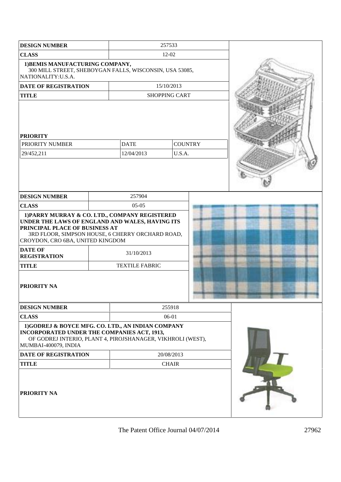| <b>DESIGN NUMBER</b>                                                                                                                                                                                                                                                                 |  | 257533                              |                      |  |  |
|--------------------------------------------------------------------------------------------------------------------------------------------------------------------------------------------------------------------------------------------------------------------------------------|--|-------------------------------------|----------------------|--|--|
| <b>CLASS</b>                                                                                                                                                                                                                                                                         |  | $12 - 02$                           |                      |  |  |
| 1) BEMIS MANUFACTURING COMPANY,<br>300 MILL STREET, SHEBOYGAN FALLS, WISCONSIN, USA 53085,<br>NATIONALITY:U.S.A.                                                                                                                                                                     |  |                                     |                      |  |  |
| DATE OF REGISTRATION                                                                                                                                                                                                                                                                 |  |                                     | 15/10/2013           |  |  |
| <b>TITLE</b>                                                                                                                                                                                                                                                                         |  |                                     | <b>SHOPPING CART</b> |  |  |
| <b>PRIORITY</b><br>PRIORITY NUMBER                                                                                                                                                                                                                                                   |  | <b>DATE</b>                         | <b>COUNTRY</b>       |  |  |
| 29/452,211                                                                                                                                                                                                                                                                           |  | 12/04/2013                          | U.S.A.               |  |  |
| <b>DESIGN NUMBER</b>                                                                                                                                                                                                                                                                 |  | 257904                              |                      |  |  |
| <b>CLASS</b>                                                                                                                                                                                                                                                                         |  | $0.5 - 0.5$                         |                      |  |  |
| 1) PARRY MURRAY & CO. LTD., COMPANY REGISTERED<br>UNDER THE LAWS OF ENGLAND AND WALES, HAVING ITS<br>PRINCIPAL PLACE OF BUSINESS AT<br>3RD FLOOR, SIMPSON HOUSE, 6 CHERRY ORCHARD ROAD,<br>CROYDON, CRO 6BA, UNITED KINGDOM<br><b>DATE OF</b><br><b>REGISTRATION</b><br><b>TITLE</b> |  | 31/10/2013<br><b>TEXTILE FABRIC</b> |                      |  |  |
| <b>PRIORITY NA</b>                                                                                                                                                                                                                                                                   |  |                                     |                      |  |  |
| <b>DESIGN NUMBER</b>                                                                                                                                                                                                                                                                 |  |                                     | 255918               |  |  |
| <b>CLASS</b>                                                                                                                                                                                                                                                                         |  |                                     | 06-01                |  |  |
| 1)GODREJ & BOYCE MFG. CO. LTD., AN INDIAN COMPANY<br>INCORPORATED UNDER THE COMPANIES ACT, 1913,<br>OF GODREJ INTERIO, PLANT 4, PIROJSHANAGER, VIKHROLI (WEST),<br>MUMBAI-400079, INDIA                                                                                              |  |                                     |                      |  |  |
| <b>DATE OF REGISTRATION</b>                                                                                                                                                                                                                                                          |  | 20/08/2013                          |                      |  |  |
| <b>TITLE</b>                                                                                                                                                                                                                                                                         |  |                                     | <b>CHAIR</b>         |  |  |
| <b>PRIORITY NA</b>                                                                                                                                                                                                                                                                   |  |                                     |                      |  |  |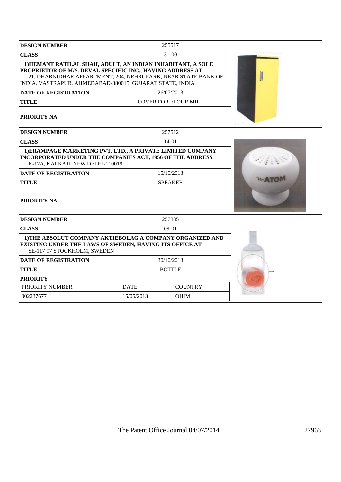| <b>DESIGN NUMBER</b>                                                                                                                                                                                                                                  |            | 255517                      |                |        |
|-------------------------------------------------------------------------------------------------------------------------------------------------------------------------------------------------------------------------------------------------------|------------|-----------------------------|----------------|--------|
| <b>CLASS</b>                                                                                                                                                                                                                                          | $31-00$    |                             |                |        |
| 1) HEMANT RATILAL SHAH, ADULT, AN INDIAN INHABITANT, A SOLE<br>PROPRIETOR OF M/S. DEVAL SPECIFIC INC., HAVING ADDRESS AT<br>21, DHARNIDHAR APPARTMENT, 204, NEHRUPARK, NEAR STATE BANK OF<br>INDIA, VASTRAPUR, AHMEDABAD-380015, GUJARAT STATE, INDIA |            |                             |                |        |
| <b>DATE OF REGISTRATION</b>                                                                                                                                                                                                                           |            | 26/07/2013                  |                |        |
| <b>TITLE</b>                                                                                                                                                                                                                                          |            | <b>COVER FOR FLOUR MILL</b> |                |        |
| PRIORITY NA                                                                                                                                                                                                                                           |            |                             |                |        |
| <b>DESIGN NUMBER</b>                                                                                                                                                                                                                                  |            | 257512                      |                |        |
| <b>CLASS</b>                                                                                                                                                                                                                                          |            | $14-01$                     |                |        |
| 1) ERAMPAGE MARKETING PVT. LTD., A PRIVATE LIMITED COMPANY<br>INCORPORATED UNDER THE COMPANIES ACT, 1956 OF THE ADDRESS<br>K-12A, KALKAJI, NEW DELHI-110019                                                                                           |            |                             |                | $\sim$ |
| <b>DATE OF REGISTRATION</b>                                                                                                                                                                                                                           |            | 15/10/2013                  |                |        |
| <b>TITLE</b>                                                                                                                                                                                                                                          |            | <b>SPEAKER</b>              |                |        |
| <b>PRIORITY NA</b>                                                                                                                                                                                                                                    |            |                             |                |        |
| <b>DESIGN NUMBER</b>                                                                                                                                                                                                                                  |            | 257885                      |                |        |
| <b>CLASS</b>                                                                                                                                                                                                                                          | $09-01$    |                             |                |        |
| 1) THE ABSOLUT COMPANY AKTIEBOLAG A COMPANY ORGANIZED AND<br><b>EXISTING UNDER THE LAWS OF SWEDEN, HAVING ITS OFFICE AT</b><br>SE-117 97 STOCKHOLM, SWEDEN                                                                                            |            |                             |                |        |
| <b>DATE OF REGISTRATION</b>                                                                                                                                                                                                                           | 30/10/2013 |                             |                |        |
| <b>BOTTLE</b><br><b>TITLE</b>                                                                                                                                                                                                                         |            |                             |                |        |
| <b>PRIORITY</b>                                                                                                                                                                                                                                       |            |                             |                |        |
| PRIORITY NUMBER                                                                                                                                                                                                                                       |            | <b>DATE</b>                 | <b>COUNTRY</b> |        |
| 002237677                                                                                                                                                                                                                                             |            | 15/05/2013                  | <b>OHIM</b>    |        |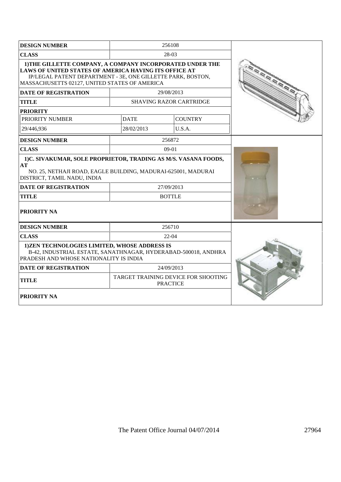| <b>DESIGN NUMBER</b><br>256108                                                                                                                                                                                                     |             |                                                        |  |
|------------------------------------------------------------------------------------------------------------------------------------------------------------------------------------------------------------------------------------|-------------|--------------------------------------------------------|--|
| <b>CLASS</b>                                                                                                                                                                                                                       |             |                                                        |  |
| 1) THE GILLETTE COMPANY, A COMPANY INCORPORATED UNDER THE<br>LAWS OF UNITED STATES OF AMERICA HAVING ITS OFFICE AT<br>IP/LEGAL PATENT DEPARTMENT - 3E, ONE GILLETTE PARK, BOSTON,<br>MASSACHUSETTS 02127, UNITED STATES OF AMERICA |             |                                                        |  |
| <b>DATE OF REGISTRATION</b>                                                                                                                                                                                                        |             | 29/08/2013                                             |  |
| <b>TITLE</b>                                                                                                                                                                                                                       |             | <b>SHAVING RAZOR CARTRIDGE</b>                         |  |
| <b>PRIORITY</b>                                                                                                                                                                                                                    |             |                                                        |  |
| PRIORITY NUMBER                                                                                                                                                                                                                    | <b>DATE</b> | <b>COUNTRY</b>                                         |  |
| 29/446.936                                                                                                                                                                                                                         | 28/02/2013  | U.S.A.                                                 |  |
| <b>DESIGN NUMBER</b>                                                                                                                                                                                                               |             | 256872                                                 |  |
| <b>CLASS</b>                                                                                                                                                                                                                       |             | $09-01$                                                |  |
| 1)C. SIVAKUMAR, SOLE PROPRIETOR, TRADING AS M/S. VASANA FOODS,<br>AT<br>NO. 25, NETHAJI ROAD, EAGLE BUILDING, MADURAI-625001, MADURAI<br>DISTRICT, TAMIL NADU, INDIA                                                               |             |                                                        |  |
| <b>DATE OF REGISTRATION</b>                                                                                                                                                                                                        |             | 27/09/2013                                             |  |
| <b>TITLE</b>                                                                                                                                                                                                                       |             | <b>BOTTLE</b>                                          |  |
| <b>PRIORITY NA</b>                                                                                                                                                                                                                 |             |                                                        |  |
| <b>DESIGN NUMBER</b>                                                                                                                                                                                                               |             | 256710                                                 |  |
| <b>CLASS</b>                                                                                                                                                                                                                       |             | 22-04                                                  |  |
| 1) ZEN TECHNOLOGIES LIMITED, WHOSE ADDRESS IS<br>B-42, INDUSTRIAL ESTATE, SANATHNAGAR, HYDERABAD-500018, ANDHRA<br>PRADESH AND WHOSE NATIONALITY IS INDIA                                                                          |             |                                                        |  |
| <b>DATE OF REGISTRATION</b>                                                                                                                                                                                                        |             | 24/09/2013                                             |  |
| <b>TITLE</b>                                                                                                                                                                                                                       |             | TARGET TRAINING DEVICE FOR SHOOTING<br><b>PRACTICE</b> |  |
| <b>PRIORITY NA</b>                                                                                                                                                                                                                 |             |                                                        |  |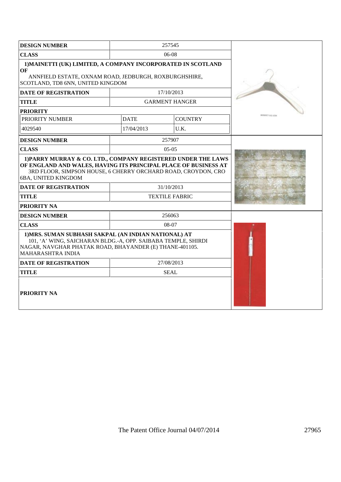| <b>DESIGN NUMBER</b><br>257545                                                                                                                                                                                                                          |             |                       |                      |
|---------------------------------------------------------------------------------------------------------------------------------------------------------------------------------------------------------------------------------------------------------|-------------|-----------------------|----------------------|
| <b>CLASS</b>                                                                                                                                                                                                                                            |             |                       |                      |
| 1) MAINETTI (UK) LIMITED, A COMPANY INCORPORATED IN SCOTLAND<br>OF<br>ANNFIELD ESTATE, OXNAM ROAD, JEDBURGH, ROXBURGHSHIRE,<br>SCOTLAND, TD8 6NN, UNITED KINGDOM                                                                                        |             |                       |                      |
| <b>DATE OF REGISTRATION</b>                                                                                                                                                                                                                             |             | 17/10/2013            |                      |
| <b>TITLE</b>                                                                                                                                                                                                                                            |             | <b>GARMENT HANGER</b> |                      |
| <b>PRIORITY</b>                                                                                                                                                                                                                                         |             |                       |                      |
| PRIORITY NUMBER                                                                                                                                                                                                                                         | <b>DATE</b> | <b>COUNTRY</b>        | <b>REPORTING VAL</b> |
| 4029540                                                                                                                                                                                                                                                 | 17/04/2013  | U.K.                  |                      |
| <b>DESIGN NUMBER</b>                                                                                                                                                                                                                                    |             | 257907                |                      |
| <b>CLASS</b>                                                                                                                                                                                                                                            |             | $05-05$               |                      |
| 1) PARRY MURRAY & CO. LTD., COMPANY REGISTERED UNDER THE LAWS<br>OF ENGLAND AND WALES, HAVING ITS PRINCIPAL PLACE OF BUSINESS AT<br>3RD FLOOR, SIMPSON HOUSE, 6 CHERRY ORCHARD ROAD, CROYDON, CRO<br>6BA, UNITED KINGDOM<br><b>DATE OF REGISTRATION</b> |             |                       |                      |
| <b>TITLE</b>                                                                                                                                                                                                                                            |             | <b>TEXTILE FABRIC</b> |                      |
| <b>PRIORITY NA</b>                                                                                                                                                                                                                                      |             |                       |                      |
| <b>DESIGN NUMBER</b>                                                                                                                                                                                                                                    |             | 256063                |                      |
| <b>CLASS</b>                                                                                                                                                                                                                                            |             | 08-07                 |                      |
| 1) MRS. SUMAN SUBHASH SAKPAL (AN INDIAN NATIONAL) AT<br>101, 'A' WING, SAICHARAN BLDG.-A, OPP. SAIBABA TEMPLE, SHIRDI<br>NAGAR, NAVGHAR PHATAK ROAD, BHAYANDER (E) THANE-401105.<br><b>MAHARASHTRA INDIA</b>                                            |             |                       |                      |
| <b>DATE OF REGISTRATION</b><br>27/08/2013                                                                                                                                                                                                               |             |                       |                      |
| <b>TITLE</b><br><b>SEAL</b>                                                                                                                                                                                                                             |             |                       |                      |
| <b>PRIORITY NA</b>                                                                                                                                                                                                                                      |             |                       |                      |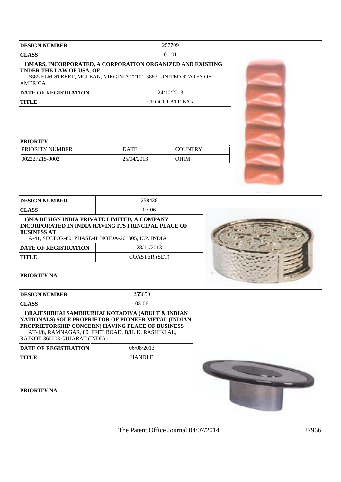| <b>DESIGN NUMBER</b>                                                                                                                                                                                                                                   |                                    |                           | 257709                        |  |  |
|--------------------------------------------------------------------------------------------------------------------------------------------------------------------------------------------------------------------------------------------------------|------------------------------------|---------------------------|-------------------------------|--|--|
| <b>CLASS</b>                                                                                                                                                                                                                                           |                                    |                           | $01 - 01$                     |  |  |
| 1) MARS, INCORPORATED, A CORPORATION ORGANIZED AND EXISTING<br><b>UNDER THE LAW OF USA, OF</b><br>6885 ELM STREET, MCLEAN, VIRGINIA 22101-3883, UNITED STATES OF<br><b>AMERICA</b>                                                                     |                                    |                           |                               |  |  |
| <b>DATE OF REGISTRATION</b>                                                                                                                                                                                                                            |                                    |                           | 24/10/2013                    |  |  |
| <b>TITLE</b>                                                                                                                                                                                                                                           |                                    |                           | <b>CHOCOLATE BAR</b>          |  |  |
| <b>PRIORITY</b><br>PRIORITY NUMBER<br>002227215-0002                                                                                                                                                                                                   |                                    | <b>DATE</b><br>25/04/2013 | <b>COUNTRY</b><br><b>OHIM</b> |  |  |
| <b>DESIGN NUMBER</b>                                                                                                                                                                                                                                   |                                    | 258438                    |                               |  |  |
| <b>CLASS</b>                                                                                                                                                                                                                                           |                                    | 07-06                     |                               |  |  |
| 1) MA DESIGN INDIA PRIVATE LIMITED, A COMPANY<br><b>INCORPORATED IN INDIA HAVING ITS PRINCIPAL PLACE OF</b><br><b>BUSINESS AT</b><br>A-41, SECTOR-80, PHASE-II, NOIDA-201305, U.P. INDIA<br><b>DATE OF REGISTRATION</b><br><b>TITLE</b><br>PRIORITY NA | 28/11/2013<br><b>COASTER (SET)</b> |                           |                               |  |  |
| <b>DESIGN NUMBER</b>                                                                                                                                                                                                                                   |                                    | 255650                    |                               |  |  |
| <b>CLASS</b>                                                                                                                                                                                                                                           |                                    | 08-06                     |                               |  |  |
| 1) RAJESHBHAI SAMBHUBHAI KOTADIYA (ADULT & INDIAN<br>NATIONALS) SOLE PROPRIETOR OF PIONEER METAL (INDIAN<br>PROPRIETORSHIP CONCERN) HAVING PLACE OF BUSINESS<br>AT-1/8, RAMNAGAR, 80, FEET ROAD, B/H. K. RASHIKLAL,<br>RAJKOT-360003 GUJARAT (INDIA)   |                                    |                           |                               |  |  |
| <b>DATE OF REGISTRATION</b>                                                                                                                                                                                                                            |                                    | 06/08/2013                |                               |  |  |
| <b>TITLE</b>                                                                                                                                                                                                                                           |                                    | <b>HANDLE</b>             |                               |  |  |
| <b>PRIORITY NA</b>                                                                                                                                                                                                                                     |                                    |                           |                               |  |  |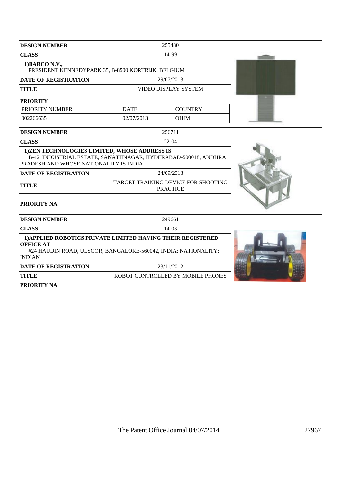| <b>DESIGN NUMBER</b>                                                                                                                                               |                                   | 255480                                                 |  |
|--------------------------------------------------------------------------------------------------------------------------------------------------------------------|-----------------------------------|--------------------------------------------------------|--|
| <b>CLASS</b><br>14-99                                                                                                                                              |                                   |                                                        |  |
| 1) BARCO N.V.,<br>PRESIDENT KENNEDYPARK 35, B-8500 KORTRIJK, BELGIUM                                                                                               |                                   |                                                        |  |
| <b>DATE OF REGISTRATION</b>                                                                                                                                        |                                   | 29/07/2013                                             |  |
| <b>TITLE</b>                                                                                                                                                       |                                   | VIDEO DISPLAY SYSTEM                                   |  |
| <b>PRIORITY</b>                                                                                                                                                    |                                   |                                                        |  |
| PRIORITY NUMBER                                                                                                                                                    | <b>DATE</b>                       | <b>COUNTRY</b>                                         |  |
| 002266635                                                                                                                                                          | 02/07/2013                        | <b>OHIM</b>                                            |  |
| <b>DESIGN NUMBER</b>                                                                                                                                               |                                   | 256711                                                 |  |
| <b>CLASS</b>                                                                                                                                                       |                                   | 22-04                                                  |  |
| 1) ZEN TECHNOLOGIES LIMITED, WHOSE ADDRESS IS<br>B-42, INDUSTRIAL ESTATE, SANATHNAGAR, HYDERABAD-500018, ANDHRA<br>PRADESH AND WHOSE NATIONALITY IS INDIA          |                                   |                                                        |  |
| <b>DATE OF REGISTRATION</b>                                                                                                                                        |                                   | 24/09/2013                                             |  |
| <b>TITLE</b>                                                                                                                                                       |                                   | TARGET TRAINING DEVICE FOR SHOOTING<br><b>PRACTICE</b> |  |
| PRIORITY NA                                                                                                                                                        |                                   |                                                        |  |
| <b>DESIGN NUMBER</b>                                                                                                                                               |                                   | 249661                                                 |  |
| <b>CLASS</b><br>14-03                                                                                                                                              |                                   |                                                        |  |
| 1) APPLIED ROBOTICS PRIVATE LIMITED HAVING THEIR REGISTERED<br><b>OFFICE AT</b><br>#24 HAUDIN ROAD, ULSOOR, BANGALORE-560042, INDIA; NATIONALITY:<br><b>INDIAN</b> |                                   |                                                        |  |
| <b>DATE OF REGISTRATION</b>                                                                                                                                        | 23/11/2012                        |                                                        |  |
| <b>TITLE</b>                                                                                                                                                       | ROBOT CONTROLLED BY MOBILE PHONES |                                                        |  |
| <b>PRIORITY NA</b>                                                                                                                                                 |                                   |                                                        |  |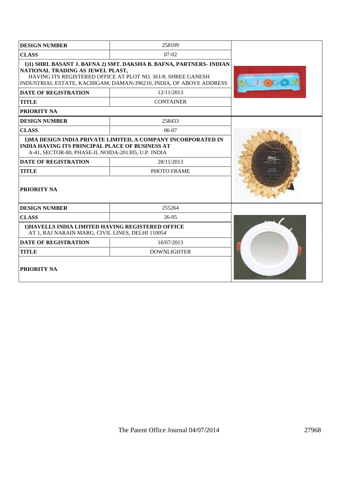| <b>DESIGN NUMBER</b>                                                                                                                                                                                                                           | 258109                                                        |  |
|------------------------------------------------------------------------------------------------------------------------------------------------------------------------------------------------------------------------------------------------|---------------------------------------------------------------|--|
| <b>CLASS</b>                                                                                                                                                                                                                                   |                                                               |  |
| 1)1) SHRI. BASANT J. BAFNA 2) SMT. DAKSHA B. BAFNA, PARTNERS- INDIAN<br>NATIONAL TRADING AS JEWEL PLAST,<br>HAVING ITS REGISTERED OFFICE AT PLOT NO. 361/8, SHREE GANESH<br>INDUSTRIAL ESTATE, KACHIGAM, DAMAN-396210, INDIA, OF ABOVE ADDRESS |                                                               |  |
| <b>DATE OF REGISTRATION</b>                                                                                                                                                                                                                    | 12/11/2013                                                    |  |
| <b>TITLE</b>                                                                                                                                                                                                                                   | <b>CONTAINER</b>                                              |  |
| PRIORITY NA                                                                                                                                                                                                                                    |                                                               |  |
| <b>DESIGN NUMBER</b>                                                                                                                                                                                                                           | 258433                                                        |  |
| <b>CLASS</b>                                                                                                                                                                                                                                   | 06-07                                                         |  |
| <b>INDIA HAVING ITS PRINCIPAL PLACE OF BUSINESS AT</b><br>A-41, SECTOR-80, PHASE-II, NOIDA-201305, U.P. INDIA                                                                                                                                  | 1) MA DESIGN INDIA PRIVATE LIMITED, A COMPANY INCORPORATED IN |  |
| <b>DATE OF REGISTRATION</b>                                                                                                                                                                                                                    | 28/11/2013                                                    |  |
| <b>TITLE</b>                                                                                                                                                                                                                                   | PHOTO FRAME                                                   |  |
| PRIORITY NA                                                                                                                                                                                                                                    |                                                               |  |
| <b>DESIGN NUMBER</b>                                                                                                                                                                                                                           | 255264                                                        |  |
| <b>CLASS</b>                                                                                                                                                                                                                                   | $26-05$                                                       |  |
| 1) HAVELLS INDIA LIMITED HAVING REGISTERED OFFICE<br>AT 1, RAJ NARAIN MARG, CIVIL LINES, DELHI 110054                                                                                                                                          |                                                               |  |
| <b>DATE OF REGISTRATION</b>                                                                                                                                                                                                                    |                                                               |  |
| <b>TITLE</b>                                                                                                                                                                                                                                   | <b>DOWNLIGHTER</b>                                            |  |
| PRIORITY NA                                                                                                                                                                                                                                    |                                                               |  |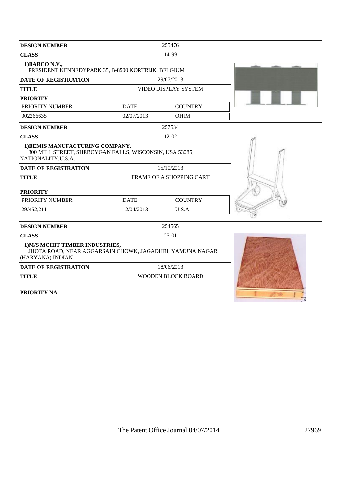| <b>DESIGN NUMBER</b>                                                                                              |                    | 255476                   |  |
|-------------------------------------------------------------------------------------------------------------------|--------------------|--------------------------|--|
| <b>CLASS</b>                                                                                                      |                    |                          |  |
| 1) BARCO N.V.,<br>PRESIDENT KENNEDYPARK 35, B-8500 KORTRIJK, BELGIUM                                              |                    |                          |  |
| <b>DATE OF REGISTRATION</b>                                                                                       |                    | 29/07/2013               |  |
| <b>TITLE</b>                                                                                                      |                    | VIDEO DISPLAY SYSTEM     |  |
| <b>PRIORITY</b>                                                                                                   |                    |                          |  |
| PRIORITY NUMBER                                                                                                   | <b>DATE</b>        | <b>COUNTRY</b>           |  |
| 002266635                                                                                                         | 02/07/2013         | <b>OHIM</b>              |  |
| <b>DESIGN NUMBER</b>                                                                                              |                    | 257534                   |  |
| <b>CLASS</b>                                                                                                      |                    | 12-02                    |  |
| 1) BEMIS MANUFACTURING COMPANY,<br>300 MILL STREET, SHEBOYGAN FALLS, WISCONSIN, USA 53085,<br>NATIONALITY: U.S.A. |                    |                          |  |
| <b>DATE OF REGISTRATION</b>                                                                                       |                    | 15/10/2013               |  |
| <b>TITLE</b>                                                                                                      |                    | FRAME OF A SHOPPING CART |  |
| <b>PRIORITY</b>                                                                                                   |                    |                          |  |
| PRIORITY NUMBER                                                                                                   | <b>DATE</b>        | <b>COUNTRY</b>           |  |
| 29/452,211                                                                                                        | 12/04/2013         | U.S.A.                   |  |
| <b>DESIGN NUMBER</b>                                                                                              |                    | 254565                   |  |
| <b>CLASS</b>                                                                                                      |                    | 25-01                    |  |
| 1) M/S MOHIT TIMBER INDUSTRIES,<br>JHOTA ROAD, NEAR AGGARSAIN CHOWK, JAGADHRI, YAMUNA NAGAR<br>(HARYANA) INDIAN   |                    |                          |  |
| <b>DATE OF REGISTRATION</b>                                                                                       |                    | 18/06/2013               |  |
| <b>TITLE</b>                                                                                                      | WOODEN BLOCK BOARD |                          |  |
| <b>PRIORITY NA</b>                                                                                                |                    |                          |  |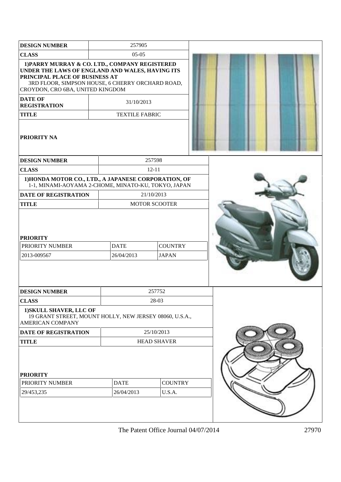| <b>DESIGN NUMBER</b>                                                                                                                                                                                                        | 257905                    |                                |  |  |
|-----------------------------------------------------------------------------------------------------------------------------------------------------------------------------------------------------------------------------|---------------------------|--------------------------------|--|--|
| <b>CLASS</b>                                                                                                                                                                                                                | $05-05$                   |                                |  |  |
| 1) PARRY MURRAY & CO. LTD., COMPANY REGISTERED<br>UNDER THE LAWS OF ENGLAND AND WALES, HAVING ITS<br>PRINCIPAL PLACE OF BUSINESS AT<br>3RD FLOOR, SIMPSON HOUSE, 6 CHERRY ORCHARD ROAD,<br>CROYDON, CRO 6BA, UNITED KINGDOM |                           |                                |  |  |
| <b>DATE OF</b><br><b>REGISTRATION</b>                                                                                                                                                                                       | 31/10/2013                |                                |  |  |
| <b>TITLE</b>                                                                                                                                                                                                                | <b>TEXTILE FABRIC</b>     |                                |  |  |
| <b>PRIORITY NA</b>                                                                                                                                                                                                          |                           |                                |  |  |
| <b>DESIGN NUMBER</b>                                                                                                                                                                                                        |                           | 257598                         |  |  |
| <b>CLASS</b>                                                                                                                                                                                                                |                           | $12 - 11$                      |  |  |
| 1) HONDA MOTOR CO., LTD., A JAPANESE CORPORATION, OF<br>1-1, MINAMI-AOYAMA 2-CHOME, MINATO-KU, TOKYO, JAPAN                                                                                                                 |                           |                                |  |  |
| <b>DATE OF REGISTRATION</b>                                                                                                                                                                                                 | 21/10/2013                |                                |  |  |
| <b>TITLE</b>                                                                                                                                                                                                                |                           | <b>MOTOR SCOOTER</b>           |  |  |
| <b>PRIORITY</b><br>PRIORITY NUMBER<br>2013-009567                                                                                                                                                                           | <b>DATE</b><br>26/04/2013 | <b>COUNTRY</b><br><b>JAPAN</b> |  |  |
| <b>DESIGN NUMBER</b>                                                                                                                                                                                                        |                           | 257752                         |  |  |
| <b>CLASS</b>                                                                                                                                                                                                                |                           | 28-03                          |  |  |
| 1) SKULL SHAVER, LLC OF<br>19 GRANT STREET, MOUNT HOLLY, NEW JERSEY 08060, U.S.A.,<br><b>AMERICAN COMPANY</b>                                                                                                               |                           |                                |  |  |
| <b>DATE OF REGISTRATION</b>                                                                                                                                                                                                 |                           | 25/10/2013                     |  |  |
| <b>TITLE</b>                                                                                                                                                                                                                |                           | <b>HEAD SHAVER</b>             |  |  |
| <b>PRIORITY</b><br>PRIORITY NUMBER<br>29/453,235                                                                                                                                                                            | <b>DATE</b><br>26/04/2013 | <b>COUNTRY</b><br>U.S.A.       |  |  |
|                                                                                                                                                                                                                             |                           |                                |  |  |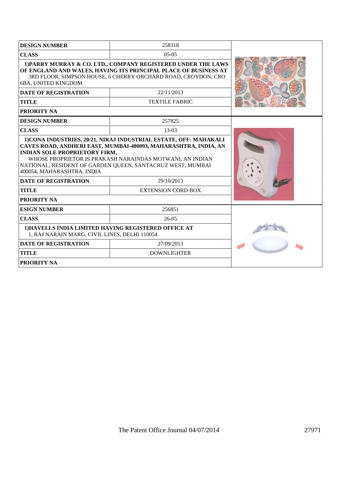| <b>DESIGN NUMBER</b>                                                                                                                                                                                                                                            | 258318                    |  |  |
|-----------------------------------------------------------------------------------------------------------------------------------------------------------------------------------------------------------------------------------------------------------------|---------------------------|--|--|
| <b>CLASS</b>                                                                                                                                                                                                                                                    | $0.5 - 0.5$               |  |  |
| 1) PARRY MURRAY & CO. LTD., COMPANY REGISTERED UNDER THE LAWS<br>OF ENGLAND AND WALES, HAVING ITS PRINCIPAL PLACE OF BUSINESS AT<br>3RD FLOOR, SIMPSON HOUSE, 6 CHERRY ORCHARD ROAD, CROYDON, CRO<br><b>6BA, UNITED KINGDOM</b>                                 |                           |  |  |
| <b>DATE OF REGISTRATION</b>                                                                                                                                                                                                                                     | 22/11/2013                |  |  |
| <b>TITLE</b>                                                                                                                                                                                                                                                    | <b>TEXTILE FABRIC</b>     |  |  |
| <b>PRIORITY NA</b>                                                                                                                                                                                                                                              |                           |  |  |
| <b>DESIGN NUMBER</b>                                                                                                                                                                                                                                            | 257825                    |  |  |
| <b>CLASS</b>                                                                                                                                                                                                                                                    | $13-03$                   |  |  |
| CAVES ROAD, ANDHERI EAST, MUMBAI-400093, MAHARASHTRA, INDIA, AN<br><b>INDIAN SOLE PROPRIETORY FIRM,</b><br>WHOSE PROPRIETOR IS PRAKASH NARAINDAS MOTWANI, AN INDIAN<br>NATIONAL, RESIDENT OF GARDEN QUEEN, SANTACRUZ WEST, MUMBAI<br>400054, MAHARASHTRA, INDIA |                           |  |  |
| <b>DATE OF REGISTRATION</b><br>29/10/2013                                                                                                                                                                                                                       |                           |  |  |
| <b>TITLE</b>                                                                                                                                                                                                                                                    | <b>EXTENSION CORD BOX</b> |  |  |
| <b>PRIORITY NA</b>                                                                                                                                                                                                                                              |                           |  |  |
| <b>ESIGN NUMBER</b>                                                                                                                                                                                                                                             | 256851                    |  |  |
| <b>CLASS</b>                                                                                                                                                                                                                                                    |                           |  |  |
| 1) HAVELLS INDIA LIMITED HAVING REGISTERED OFFICE AT<br>1, RAJ NARAIN MARG, CIVIL LINES, DELHI 110054                                                                                                                                                           |                           |  |  |
| <b>DATE OF REGISTRATION</b>                                                                                                                                                                                                                                     |                           |  |  |
| <b>TITLE</b>                                                                                                                                                                                                                                                    | <b>DOWNLIGHTER</b>        |  |  |
| <b>PRIORITY NA</b>                                                                                                                                                                                                                                              |                           |  |  |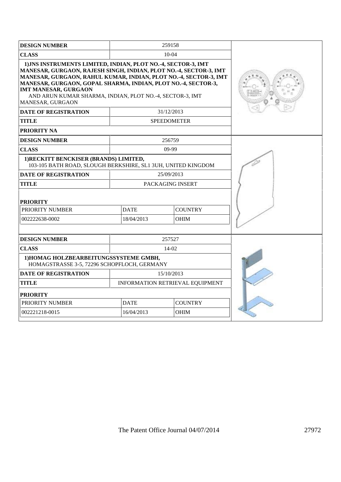| <b>DESIGN NUMBER</b>                                                                                                                                                                                                                                                                                                                                                                   |                           | 259158                          |  |
|----------------------------------------------------------------------------------------------------------------------------------------------------------------------------------------------------------------------------------------------------------------------------------------------------------------------------------------------------------------------------------------|---------------------------|---------------------------------|--|
| <b>CLASS</b>                                                                                                                                                                                                                                                                                                                                                                           |                           |                                 |  |
| 1) JNS INSTRUMENTS LIMITED, INDIAN, PLOT NO.-4, SECTOR-3, IMT<br>MANESAR, GURGAON, RAJESH SINGH, INDIAN, PLOT NO.-4, SECTOR-3, IMT<br>MANESAR, GURGAON, RAHUL KUMAR, INDIAN, PLOT NO.-4, SECTOR-3, IMT<br>MANESAR, GURGAON, GOPAL SHARMA, INDIAN, PLOT NO.-4, SECTOR-3,<br><b>IMT MANESAR, GURGAON</b><br>AND ARUN KUMAR SHARMA, INDIAN, PLOT NO.-4, SECTOR-3, IMT<br>MANESAR, GURGAON |                           |                                 |  |
| <b>DATE OF REGISTRATION</b>                                                                                                                                                                                                                                                                                                                                                            |                           | 31/12/2013                      |  |
| <b>TITLE</b>                                                                                                                                                                                                                                                                                                                                                                           |                           | <b>SPEEDOMETER</b>              |  |
| PRIORITY NA                                                                                                                                                                                                                                                                                                                                                                            |                           |                                 |  |
| <b>DESIGN NUMBER</b>                                                                                                                                                                                                                                                                                                                                                                   |                           | 256759                          |  |
| <b>CLASS</b>                                                                                                                                                                                                                                                                                                                                                                           |                           | $09-99$                         |  |
| 1) RECKITT BENCKISER (BRANDS) LIMITED,<br>103-105 BATH ROAD, SLOUGH BERKSHIRE, SL1 3UH, UNITED KINGDOM                                                                                                                                                                                                                                                                                 |                           |                                 |  |
| <b>DATE OF REGISTRATION</b>                                                                                                                                                                                                                                                                                                                                                            |                           | 25/09/2013                      |  |
| <b>TITLE</b>                                                                                                                                                                                                                                                                                                                                                                           |                           | PACKAGING INSERT                |  |
| <b>PRIORITY</b>                                                                                                                                                                                                                                                                                                                                                                        |                           |                                 |  |
| PRIORITY NUMBER                                                                                                                                                                                                                                                                                                                                                                        | <b>DATE</b>               | <b>COUNTRY</b>                  |  |
| 002222638-0002                                                                                                                                                                                                                                                                                                                                                                         | 18/04/2013<br><b>OHIM</b> |                                 |  |
|                                                                                                                                                                                                                                                                                                                                                                                        |                           |                                 |  |
| <b>DESIGN NUMBER</b>                                                                                                                                                                                                                                                                                                                                                                   |                           | 257527                          |  |
| <b>CLASS</b>                                                                                                                                                                                                                                                                                                                                                                           |                           |                                 |  |
| 1)HOMAG HOLZBEARBEITUNGSSYSTEME GMBH,<br>HOMAGSTRASSE 3-5, 72296 SCHOPFLOCH, GERMANY                                                                                                                                                                                                                                                                                                   |                           |                                 |  |
| <b>DATE OF REGISTRATION</b>                                                                                                                                                                                                                                                                                                                                                            |                           | 15/10/2013                      |  |
| <b>TITLE</b>                                                                                                                                                                                                                                                                                                                                                                           |                           | INFORMATION RETRIEVAL EQUIPMENT |  |
| <b>PRIORITY</b>                                                                                                                                                                                                                                                                                                                                                                        |                           |                                 |  |
| PRIORITY NUMBER                                                                                                                                                                                                                                                                                                                                                                        | <b>DATE</b>               | <b>COUNTRY</b>                  |  |
| 002221218-0015                                                                                                                                                                                                                                                                                                                                                                         | 16/04/2013                | <b>OHIM</b>                     |  |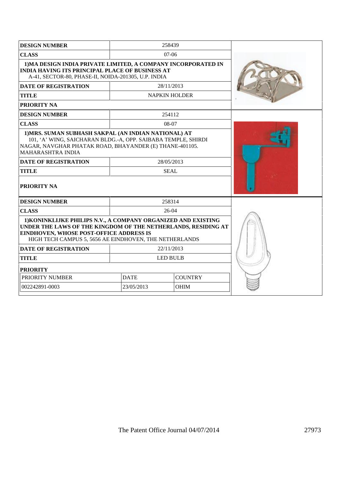| 1) MA DESIGN INDIA PRIVATE LIMITED, A COMPANY INCORPORATED IN<br><b>INDIA HAVING ITS PRINCIPAL PLACE OF BUSINESS AT</b><br>A-41, SECTOR-80, PHASE-II, NOIDA-201305, U.P. INDIA                                                      |             |                                                                                                                                                                                                                                                                                                                                                 |  |  |
|-------------------------------------------------------------------------------------------------------------------------------------------------------------------------------------------------------------------------------------|-------------|-------------------------------------------------------------------------------------------------------------------------------------------------------------------------------------------------------------------------------------------------------------------------------------------------------------------------------------------------|--|--|
|                                                                                                                                                                                                                                     |             |                                                                                                                                                                                                                                                                                                                                                 |  |  |
|                                                                                                                                                                                                                                     |             |                                                                                                                                                                                                                                                                                                                                                 |  |  |
|                                                                                                                                                                                                                                     |             |                                                                                                                                                                                                                                                                                                                                                 |  |  |
|                                                                                                                                                                                                                                     |             |                                                                                                                                                                                                                                                                                                                                                 |  |  |
|                                                                                                                                                                                                                                     |             |                                                                                                                                                                                                                                                                                                                                                 |  |  |
|                                                                                                                                                                                                                                     |             |                                                                                                                                                                                                                                                                                                                                                 |  |  |
|                                                                                                                                                                                                                                     |             |                                                                                                                                                                                                                                                                                                                                                 |  |  |
|                                                                                                                                                                                                                                     |             |                                                                                                                                                                                                                                                                                                                                                 |  |  |
|                                                                                                                                                                                                                                     |             |                                                                                                                                                                                                                                                                                                                                                 |  |  |
|                                                                                                                                                                                                                                     |             |                                                                                                                                                                                                                                                                                                                                                 |  |  |
|                                                                                                                                                                                                                                     |             |                                                                                                                                                                                                                                                                                                                                                 |  |  |
| 1) KONINKLIJKE PHILIPS N.V., A COMPANY ORGANIZED AND EXISTING<br>UNDER THE LAWS OF THE KINGDOM OF THE NETHERLANDS, RESIDING AT<br>EINDHOVEN, WHOSE POST-OFFICE ADDRESS IS<br>HIGH TECH CAMPUS 5, 5656 AE EINDHOVEN, THE NETHERLANDS |             |                                                                                                                                                                                                                                                                                                                                                 |  |  |
|                                                                                                                                                                                                                                     |             |                                                                                                                                                                                                                                                                                                                                                 |  |  |
|                                                                                                                                                                                                                                     |             |                                                                                                                                                                                                                                                                                                                                                 |  |  |
| <b>PRIORITY</b>                                                                                                                                                                                                                     |             |                                                                                                                                                                                                                                                                                                                                                 |  |  |
| <b>COUNTRY</b><br><b>DATE</b>                                                                                                                                                                                                       |             |                                                                                                                                                                                                                                                                                                                                                 |  |  |
| 23/05/2013                                                                                                                                                                                                                          | <b>OHIM</b> |                                                                                                                                                                                                                                                                                                                                                 |  |  |
|                                                                                                                                                                                                                                     |             | 258439<br>$07-06$<br>28/11/2013<br><b>NAPKIN HOLDER</b><br>254112<br>08-07<br>1) MRS. SUMAN SUBHASH SAKPAL (AN INDIAN NATIONAL) AT<br>101, 'A' WING, SAICHARAN BLDG.-A, OPP. SAIBABA TEMPLE, SHIRDI<br>NAGAR, NAVGHAR PHATAK ROAD, BHAYANDER (E) THANE-401105.<br>28/05/2013<br><b>SEAL</b><br>258314<br>26-04<br>22/11/2013<br><b>LED BULB</b> |  |  |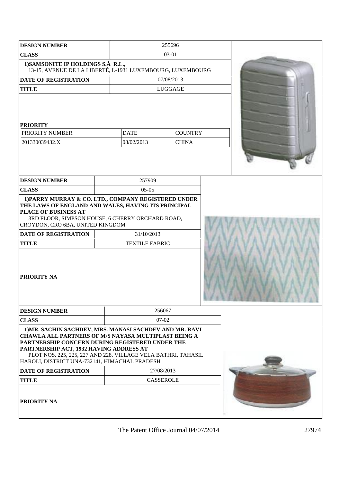| <b>DESIGN NUMBER</b>                                                                                                                                                                                                                                                                                                            |                                     | 255696           |                |  |
|---------------------------------------------------------------------------------------------------------------------------------------------------------------------------------------------------------------------------------------------------------------------------------------------------------------------------------|-------------------------------------|------------------|----------------|--|
| <b>CLASS</b>                                                                                                                                                                                                                                                                                                                    | 03-01                               |                  |                |  |
| 1) SAMSONITE IP HOLDINGS S.À R.L.,<br>13-15, AVENUE DE LA LIBERTÉ, L-1931 LUXEMBOURG, LUXEMBOURG                                                                                                                                                                                                                                |                                     |                  |                |  |
| <b>DATE OF REGISTRATION</b>                                                                                                                                                                                                                                                                                                     |                                     | 07/08/2013       |                |  |
| <b>TITLE</b>                                                                                                                                                                                                                                                                                                                    |                                     | LUGGAGE          |                |  |
| <b>PRIORITY</b>                                                                                                                                                                                                                                                                                                                 |                                     |                  |                |  |
| PRIORITY NUMBER                                                                                                                                                                                                                                                                                                                 | <b>DATE</b>                         |                  | <b>COUNTRY</b> |  |
| 201330039432.X                                                                                                                                                                                                                                                                                                                  | 08/02/2013                          |                  | <b>CHINA</b>   |  |
|                                                                                                                                                                                                                                                                                                                                 |                                     |                  |                |  |
| <b>DESIGN NUMBER</b>                                                                                                                                                                                                                                                                                                            | 257909                              |                  |                |  |
| <b>CLASS</b>                                                                                                                                                                                                                                                                                                                    | $05-05$                             |                  |                |  |
| 1) PARRY MURRAY & CO. LTD., COMPANY REGISTERED UNDER<br>THE LAWS OF ENGLAND AND WALES, HAVING ITS PRINCIPAL<br><b>PLACE OF BUSINESS AT</b><br>3RD FLOOR, SIMPSON HOUSE, 6 CHERRY ORCHARD ROAD,<br>CROYDON, CRO 6BA, UNITED KINGDOM<br><b>DATE OF REGISTRATION</b><br><b>TITLE</b><br>PRIORITY NA                                | 31/10/2013<br><b>TEXTILE FABRIC</b> |                  |                |  |
| <b>DESIGN NUMBER</b>                                                                                                                                                                                                                                                                                                            |                                     | 256067           |                |  |
| <b>CLASS</b>                                                                                                                                                                                                                                                                                                                    |                                     | $07-02$          |                |  |
| 1) MR. SACHIN SACHDEV, MRS. MANASI SACHDEV AND MR. RAVI<br>CHAWLA ALL PARTNERS OF M/S NAYASA MULTIPLAST BEING A<br>PARTNERSHIP CONCERN DURING REGISTERED UNDER THE<br>PARTNERSHIP ACT, 1932 HAVING ADDRESS AT<br>PLOT NOS. 225, 225, 227 AND 228, VILLAGE VELA BATHRI, TAHASIL<br>HAROLI, DISTRICT UNA-732141, HIMACHAL PRADESH |                                     |                  |                |  |
| <b>DATE OF REGISTRATION</b>                                                                                                                                                                                                                                                                                                     |                                     | 27/08/2013       |                |  |
| <b>TITLE</b>                                                                                                                                                                                                                                                                                                                    |                                     | <b>CASSEROLE</b> |                |  |
| <b>PRIORITY NA</b>                                                                                                                                                                                                                                                                                                              |                                     |                  |                |  |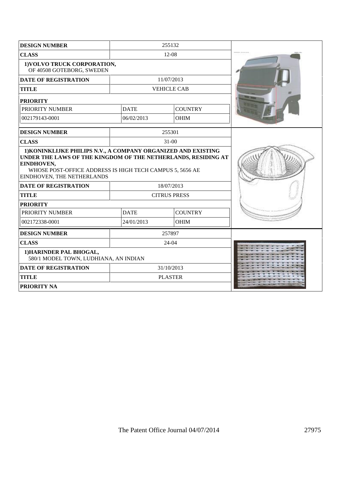| <b>DESIGN NUMBER</b>                                                                                                                                                  |             | 255132              |  |
|-----------------------------------------------------------------------------------------------------------------------------------------------------------------------|-------------|---------------------|--|
| <b>CLASS</b>                                                                                                                                                          |             | 12-08               |  |
| 1) VOLVO TRUCK CORPORATION,<br>OF 40508 GOTEBORG, SWEDEN                                                                                                              |             |                     |  |
| <b>DATE OF REGISTRATION</b>                                                                                                                                           |             | 11/07/2013          |  |
| <b>TITLE</b>                                                                                                                                                          |             | <b>VEHICLE CAB</b>  |  |
| <b>PRIORITY</b>                                                                                                                                                       |             |                     |  |
| <b>PRIORITY NUMBER</b>                                                                                                                                                | <b>DATE</b> | <b>COUNTRY</b>      |  |
| 002179143-0001                                                                                                                                                        | 06/02/2013  | <b>OHIM</b>         |  |
| <b>DESIGN NUMBER</b>                                                                                                                                                  |             | 255301              |  |
| <b>CLASS</b>                                                                                                                                                          |             | $31 - 00$           |  |
| UNDER THE LAWS OF THE KINGDOM OF THE NETHERLANDS, RESIDING AT<br>EINDHOVEN,<br>WHOSE POST-OFFICE ADDRESS IS HIGH TECH CAMPUS 5, 5656 AE<br>EINDHOVEN, THE NETHERLANDS |             |                     |  |
| <b>DATE OF REGISTRATION</b>                                                                                                                                           |             | 18/07/2013          |  |
| <b>TITLE</b>                                                                                                                                                          |             | <b>CITRUS PRESS</b> |  |
| <b>PRIORITY</b>                                                                                                                                                       |             |                     |  |
| PRIORITY NUMBER                                                                                                                                                       | <b>DATE</b> | <b>COUNTRY</b>      |  |
| 002172338-0001                                                                                                                                                        | 24/01/2013  | <b>OHIM</b>         |  |
| <b>DESIGN NUMBER</b>                                                                                                                                                  |             | 257897              |  |
| <b>CLASS</b>                                                                                                                                                          |             | $24-04$             |  |
| 1) HARINDER PAL BHOGAL,<br>580/1 MODEL TOWN, LUDHIANA, AN INDIAN                                                                                                      |             |                     |  |
| <b>DATE OF REGISTRATION</b>                                                                                                                                           |             | 31/10/2013          |  |
| <b>TITLE</b>                                                                                                                                                          |             | <b>PLASTER</b>      |  |
| <b>PRIORITY NA</b>                                                                                                                                                    |             |                     |  |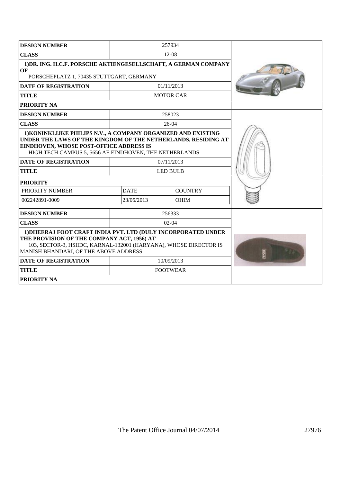| <b>DESIGN NUMBER</b>                                                                                                                                                                                                                                                      |             | 257934                        |  |  |
|---------------------------------------------------------------------------------------------------------------------------------------------------------------------------------------------------------------------------------------------------------------------------|-------------|-------------------------------|--|--|
| <b>CLASS</b>                                                                                                                                                                                                                                                              |             | $12 - 08$                     |  |  |
| 1) DR. ING. H.C.F. PORSCHE AKTIENGESELLSCHAFT, A GERMAN COMPANY<br>OF<br>PORSCHEPLATZ 1, 70435 STUTTGART, GERMANY                                                                                                                                                         |             |                               |  |  |
| <b>DATE OF REGISTRATION</b>                                                                                                                                                                                                                                               |             | 01/11/2013                    |  |  |
| <b>TITLE</b>                                                                                                                                                                                                                                                              |             | <b>MOTOR CAR</b>              |  |  |
| <b>PRIORITY NA</b>                                                                                                                                                                                                                                                        |             |                               |  |  |
| <b>DESIGN NUMBER</b>                                                                                                                                                                                                                                                      |             | 258023                        |  |  |
| <b>CLASS</b>                                                                                                                                                                                                                                                              |             | $26-04$                       |  |  |
| 1) KONINKLIJKE PHILIPS N.V., A COMPANY ORGANIZED AND EXISTING<br>UNDER THE LAWS OF THE KINGDOM OF THE NETHERLANDS, RESIDING AT<br><b>EINDHOVEN, WHOSE POST-OFFICE ADDRESS IS</b><br>HIGH TECH CAMPUS 5, 5656 AE EINDHOVEN, THE NETHERLANDS<br><b>DATE OF REGISTRATION</b> |             |                               |  |  |
| <b>TITLE</b>                                                                                                                                                                                                                                                              |             | 07/11/2013<br><b>LED BULB</b> |  |  |
| <b>PRIORITY</b>                                                                                                                                                                                                                                                           |             |                               |  |  |
| PRIORITY NUMBER                                                                                                                                                                                                                                                           | <b>DATE</b> | <b>COUNTRY</b>                |  |  |
| 002242891-0009                                                                                                                                                                                                                                                            | 23/05/2013  | <b>OHIM</b>                   |  |  |
| <b>DESIGN NUMBER</b>                                                                                                                                                                                                                                                      |             | 256333                        |  |  |
| <b>CLASS</b>                                                                                                                                                                                                                                                              | $02 - 04$   |                               |  |  |
| 1) DHEERAJ FOOT CRAFT INDIA PVT. LTD (DULY INCORPORATED UNDER<br>THE PROVISION OF THE COMPANY ACT, 1956) AT<br>103, SECTOR-3, HSIIDC, KARNAL-132001 (HARYANA), WHOSE DIRECTOR IS<br>MANISH BHANDARI, OF THE ABOVE ADDRESS                                                 |             |                               |  |  |
| <b>DATE OF REGISTRATION</b>                                                                                                                                                                                                                                               |             | 10/09/2013                    |  |  |
| <b>TITLE</b>                                                                                                                                                                                                                                                              |             | <b>FOOTWEAR</b>               |  |  |
| <b>PRIORITY NA</b>                                                                                                                                                                                                                                                        |             |                               |  |  |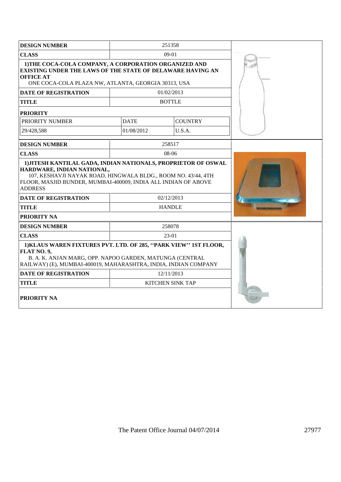| <b>DESIGN NUMBER</b>                                                                                                                                                                                           |             | 251358                  |  |
|----------------------------------------------------------------------------------------------------------------------------------------------------------------------------------------------------------------|-------------|-------------------------|--|
| <b>CLASS</b>                                                                                                                                                                                                   |             | $09-01$                 |  |
| 1) THE COCA-COLA COMPANY, A CORPORATION ORGANIZED AND<br><b>EXISTING UNDER THE LAWS OF THE STATE OF DELAWARE HAVING AN</b><br><b>OFFICE AT</b><br>ONE COCA-COLA PLAZA NW, ATLANTA, GEORGIA 30313, USA          |             |                         |  |
| <b>DATE OF REGISTRATION</b>                                                                                                                                                                                    |             | 01/02/2013              |  |
| <b>TITLE</b>                                                                                                                                                                                                   |             | <b>BOTTLE</b>           |  |
| <b>PRIORITY</b>                                                                                                                                                                                                |             |                         |  |
| <b>PRIORITY NUMBER</b>                                                                                                                                                                                         | <b>DATE</b> | <b>COUNTRY</b>          |  |
| 29/428.588                                                                                                                                                                                                     | 01/08/2012  | U.S.A.                  |  |
| <b>DESIGN NUMBER</b>                                                                                                                                                                                           |             | 258517                  |  |
| <b>CLASS</b>                                                                                                                                                                                                   |             | $08-06$                 |  |
| HARDWARE, INDIAN NATIONAL,<br>107, KESHAVJI NAYAK ROAD, HINGWALA BLDG., ROOM NO. 43/44, 4TH<br>FLOOR, MASJID BUNDER, MUMBAI-400009, INDIA ALL INDIAN OF ABOVE<br><b>ADDRESS</b>                                |             |                         |  |
| <b>DATE OF REGISTRATION</b>                                                                                                                                                                                    |             | 02/12/2013              |  |
| <b>TITLE</b>                                                                                                                                                                                                   |             | <b>HANDLE</b>           |  |
| <b>PRIORITY NA</b>                                                                                                                                                                                             |             |                         |  |
| <b>DESIGN NUMBER</b>                                                                                                                                                                                           |             | 258078                  |  |
| <b>CLASS</b>                                                                                                                                                                                                   |             | 23-01                   |  |
| 1) KLAUS WAREN FIXTURES PVT. LTD. OF 285, "PARK VIEW" 1ST FLOOR,<br>FLAT NO. 9,<br>B. A. K. ANJAN MARG, OPP. NAPOO GARDEN, MATUNGA (CENTRAL<br>RAILWAY) (E), MUMBAI-400019, MAHARASHTRA, INDIA, INDIAN COMPANY |             |                         |  |
| <b>DATE OF REGISTRATION</b>                                                                                                                                                                                    |             | 12/11/2013              |  |
| <b>TITLE</b>                                                                                                                                                                                                   |             | <b>KITCHEN SINK TAP</b> |  |
| <b>PRIORITY NA</b>                                                                                                                                                                                             |             |                         |  |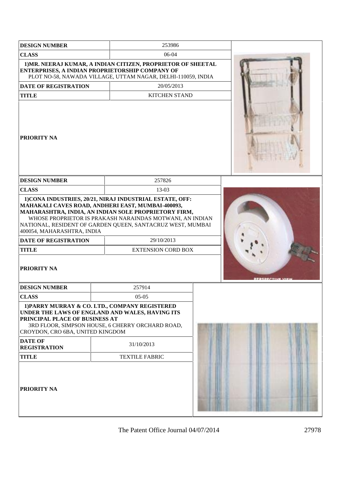| <b>DESIGN NUMBER</b>                                               |            | 253986                                                                                                                                                                                                                                                                                          |  |  |
|--------------------------------------------------------------------|------------|-------------------------------------------------------------------------------------------------------------------------------------------------------------------------------------------------------------------------------------------------------------------------------------------------|--|--|
| <b>CLASS</b>                                                       |            | 06-04                                                                                                                                                                                                                                                                                           |  |  |
|                                                                    |            | 1) MR. NEERAJ KUMAR, A INDIAN CITIZEN, PROPRIETOR OF SHEETAL<br>ENTERPRISES, A INDIAN PROPRIETORSHIP COMPANY OF<br>PLOT NO-58, NAWADA VILLAGE, UTTAM NAGAR, DELHI-110059, INDIA                                                                                                                 |  |  |
| <b>DATE OF REGISTRATION</b>                                        | 20/05/2013 |                                                                                                                                                                                                                                                                                                 |  |  |
| <b>TITLE</b>                                                       |            | <b>KITCHEN STAND</b>                                                                                                                                                                                                                                                                            |  |  |
| <b>PRIORITY NA</b>                                                 |            |                                                                                                                                                                                                                                                                                                 |  |  |
| <b>DESIGN NUMBER</b>                                               |            | 257826                                                                                                                                                                                                                                                                                          |  |  |
| <b>CLASS</b>                                                       |            | $13-03$                                                                                                                                                                                                                                                                                         |  |  |
| 400054, MAHARASHTRA, INDIA                                         |            | 1) CONA INDUSTRIES, 20/21, NIRAJ INDUSTRIAL ESTATE, OFF:<br>MAHAKALI CAVES ROAD, ANDHERI EAST, MUMBAI-400093,<br>MAHARASHTRA, INDIA, AN INDIAN SOLE PROPRIETORY FIRM,<br>WHOSE PROPRIETOR IS PRAKASH NARAINDAS MOTWANI, AN INDIAN<br>NATIONAL, RESIDENT OF GARDEN QUEEN, SANTACRUZ WEST, MUMBAI |  |  |
| <b>DATE OF REGISTRATION</b><br><b>TITLE</b>                        |            | 29/10/2013<br><b>EXTENSION CORD BOX</b>                                                                                                                                                                                                                                                         |  |  |
| <b>PRIORITY NA</b>                                                 |            |                                                                                                                                                                                                                                                                                                 |  |  |
| <b>DESIGN NUMBER</b>                                               |            | 257914                                                                                                                                                                                                                                                                                          |  |  |
| <b>CLASS</b>                                                       |            | $05-05$                                                                                                                                                                                                                                                                                         |  |  |
| PRINCIPAL PLACE OF BUSINESS AT<br>CROYDON, CRO 6BA, UNITED KINGDOM |            | 1) PARRY MURRAY & CO. LTD., COMPANY REGISTERED<br>UNDER THE LAWS OF ENGLAND AND WALES, HAVING ITS<br>3RD FLOOR, SIMPSON HOUSE, 6 CHERRY ORCHARD ROAD,                                                                                                                                           |  |  |
| <b>DATE OF</b><br><b>REGISTRATION</b>                              |            | 31/10/2013                                                                                                                                                                                                                                                                                      |  |  |
| <b>TITLE</b>                                                       |            | <b>TEXTILE FABRIC</b>                                                                                                                                                                                                                                                                           |  |  |
| <b>PRIORITY NA</b>                                                 |            |                                                                                                                                                                                                                                                                                                 |  |  |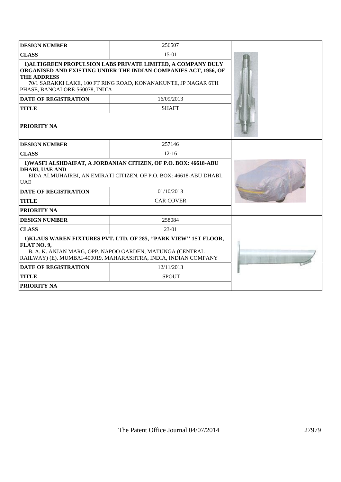| <b>DESIGN NUMBER</b>                                                                                                                                                                                           | 256507                                                                                                                                                                                            |  |  |
|----------------------------------------------------------------------------------------------------------------------------------------------------------------------------------------------------------------|---------------------------------------------------------------------------------------------------------------------------------------------------------------------------------------------------|--|--|
| <b>CLASS</b>                                                                                                                                                                                                   | $15-01$                                                                                                                                                                                           |  |  |
| <b>THE ADDRESS</b><br>PHASE, BANGALORE-560078, INDIA                                                                                                                                                           | 1) ALTIGREEN PROPULSION LABS PRIVATE LIMITED, A COMPANY DULY<br>ORGANISED AND EXISTING UNDER THE INDIAN COMPANIES ACT, 1956, OF<br>70/1 SARAKKI LAKE, 100 FT RING ROAD, KONANAKUNTE, JP NAGAR 6TH |  |  |
| <b>DATE OF REGISTRATION</b>                                                                                                                                                                                    | 16/09/2013                                                                                                                                                                                        |  |  |
| <b>TITLE</b>                                                                                                                                                                                                   | <b>SHAFT</b>                                                                                                                                                                                      |  |  |
| <b>PRIORITY NA</b>                                                                                                                                                                                             |                                                                                                                                                                                                   |  |  |
| <b>DESIGN NUMBER</b>                                                                                                                                                                                           | 257146                                                                                                                                                                                            |  |  |
| <b>CLASS</b>                                                                                                                                                                                                   | $12 - 16$                                                                                                                                                                                         |  |  |
| 1) WASFI ALSHDAIFAT, A JORDANIAN CITIZEN, OF P.O. BOX: 46618-ABU<br><b>DHABI, UAE AND</b><br>EIDA ALMUHAIRBI, AN EMIRATI CITIZEN, OF P.O. BOX: 46618-ABU DHABI,<br><b>UAE</b>                                  |                                                                                                                                                                                                   |  |  |
| <b>DATE OF REGISTRATION</b>                                                                                                                                                                                    |                                                                                                                                                                                                   |  |  |
| <b>TITLE</b>                                                                                                                                                                                                   |                                                                                                                                                                                                   |  |  |
| <b>PRIORITY NA</b>                                                                                                                                                                                             |                                                                                                                                                                                                   |  |  |
| <b>DESIGN NUMBER</b>                                                                                                                                                                                           | 258084                                                                                                                                                                                            |  |  |
| <b>CLASS</b>                                                                                                                                                                                                   | $23-01$                                                                                                                                                                                           |  |  |
| 1) KLAUS WAREN FIXTURES PVT. LTD. OF 285, "PARK VIEW" 1ST FLOOR,<br>FLAT NO. 9,<br>B. A. K. ANJAN MARG, OPP. NAPOO GARDEN, MATUNGA (CENTRAL<br>RAILWAY) (E), MUMBAI-400019, MAHARASHTRA, INDIA, INDIAN COMPANY |                                                                                                                                                                                                   |  |  |
| <b>DATE OF REGISTRATION</b>                                                                                                                                                                                    | 12/11/2013                                                                                                                                                                                        |  |  |
| <b>TITLE</b>                                                                                                                                                                                                   | <b>SPOUT</b>                                                                                                                                                                                      |  |  |
| <b>PRIORITY NA</b>                                                                                                                                                                                             |                                                                                                                                                                                                   |  |  |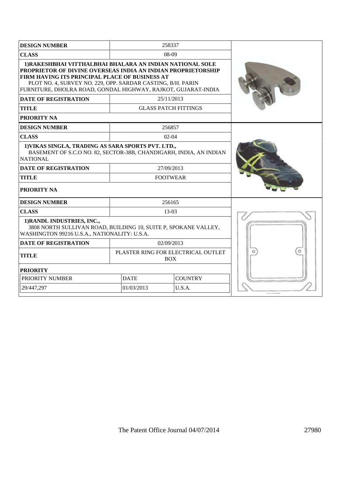| <b>DESIGN NUMBER</b>                                                                                                                                                                                                                                                                                                                       |             | 258337                                           |  |
|--------------------------------------------------------------------------------------------------------------------------------------------------------------------------------------------------------------------------------------------------------------------------------------------------------------------------------------------|-------------|--------------------------------------------------|--|
| <b>CLASS</b>                                                                                                                                                                                                                                                                                                                               |             | 08-09                                            |  |
| 1) RAKESHBHAI VITTHALBHAI BHALARA AN INDIAN NATIONAL SOLE<br>PROPRIETOR OF DIVINE OVERSEAS INDIA AN INDIAN PROPRIETORSHIP<br>FIRM HAVING ITS PRINCIPAL PLACE OF BUSINESS AT<br>PLOT NO. 4, SURVEY NO. 229, OPP. SARDAR CASTING, B/H. PARIN<br>FURNITURE, DHOLRA ROAD, GONDAL HIGHWAY, RAJKOT, GUJARAT-INDIA<br><b>DATE OF REGISTRATION</b> |             |                                                  |  |
| <b>TITLE</b>                                                                                                                                                                                                                                                                                                                               |             | 25/11/2013<br><b>GLASS PATCH FITTINGS</b>        |  |
| <b>PRIORITY NA</b>                                                                                                                                                                                                                                                                                                                         |             |                                                  |  |
| <b>DESIGN NUMBER</b>                                                                                                                                                                                                                                                                                                                       |             | 256857                                           |  |
| <b>CLASS</b>                                                                                                                                                                                                                                                                                                                               |             | $02 - 04$                                        |  |
| 1) VIKAS SINGLA, TRADING AS SARA SPORTS PVT. LTD.,<br>BASEMENT OF S.C.O NO. 82, SECTOR-38B, CHANDIGARH, INDIA, AN INDIAN<br>NATIONAL                                                                                                                                                                                                       |             |                                                  |  |
| <b>DATE OF REGISTRATION</b>                                                                                                                                                                                                                                                                                                                |             | 27/09/2013                                       |  |
| <b>TITLE</b>                                                                                                                                                                                                                                                                                                                               |             | <b>FOOTWEAR</b>                                  |  |
| <b>PRIORITY NA</b>                                                                                                                                                                                                                                                                                                                         |             |                                                  |  |
| <b>DESIGN NUMBER</b>                                                                                                                                                                                                                                                                                                                       |             | 256165                                           |  |
| <b>CLASS</b>                                                                                                                                                                                                                                                                                                                               |             | 13-03                                            |  |
| 1) RANDL INDUSTRIES, INC.,<br>3808 NORTH SULLIVAN ROAD, BUILDING 10, SUITE P, SPOKANE VALLEY,<br>WASHINGTON 99216 U.S.A., NATIONALITY: U.S.A.                                                                                                                                                                                              |             |                                                  |  |
| <b>DATE OF REGISTRATION</b>                                                                                                                                                                                                                                                                                                                |             | 02/09/2013                                       |  |
| <b>TITLE</b>                                                                                                                                                                                                                                                                                                                               |             | PLASTER RING FOR ELECTRICAL OUTLET<br><b>BOX</b> |  |
| <b>PRIORITY</b>                                                                                                                                                                                                                                                                                                                            |             |                                                  |  |
| PRIORITY NUMBER                                                                                                                                                                                                                                                                                                                            | <b>DATE</b> | <b>COUNTRY</b>                                   |  |
| 29/447,297                                                                                                                                                                                                                                                                                                                                 | 01/03/2013  | U.S.A.                                           |  |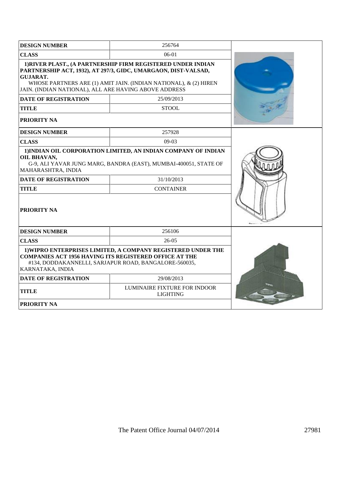| <b>DESIGN NUMBER</b>                                                                                   | 256764                                                                                                                                                                                             |  |
|--------------------------------------------------------------------------------------------------------|----------------------------------------------------------------------------------------------------------------------------------------------------------------------------------------------------|--|
| <b>CLASS</b>                                                                                           | $06-01$                                                                                                                                                                                            |  |
| <b>GUJARAT.</b><br>JAIN. (INDIAN NATIONAL), ALL ARE HAVING ABOVE ADDRESS                               | 1) RIVER PLAST., (A PARTNERSHIP FIRM REGISTERED UNDER INDIAN<br>PARTNERSHIP ACT, 1932), AT 297/3, GIDC, UMARGAON, DIST-VALSAD,<br>WHOSE PARTNERS ARE (1) AMIT JAIN. (INDIAN NATIONAL), & (2) HIREN |  |
| <b>DATE OF REGISTRATION</b>                                                                            | 25/09/2013                                                                                                                                                                                         |  |
| <b>TITLE</b>                                                                                           | <b>STOOL</b>                                                                                                                                                                                       |  |
| <b>PRIORITY NA</b>                                                                                     |                                                                                                                                                                                                    |  |
| <b>DESIGN NUMBER</b>                                                                                   | 257928                                                                                                                                                                                             |  |
| <b>CLASS</b>                                                                                           | $09-03$                                                                                                                                                                                            |  |
| OIL BHAVAN,<br>MAHARASHTRA, INDIA<br><b>DATE OF REGISTRATION</b><br><b>TITLE</b><br><b>PRIORITY NA</b> | 1) INDIAN OIL CORPORATION LIMITED, AN INDIAN COMPANY OF INDIAN<br>G-9, ALI YAVAR JUNG MARG, BANDRA (EAST), MUMBAI-400051, STATE OF<br>31/10/2013<br><b>CONTAINER</b>                               |  |
| <b>DESIGN NUMBER</b>                                                                                   | 256106                                                                                                                                                                                             |  |
| <b>CLASS</b>                                                                                           | 26-05                                                                                                                                                                                              |  |
| <b>COMPANIES ACT 1956 HAVING ITS REGISTERED OFFICE AT THE</b><br>KARNATAKA, INDIA                      | 1) WIPRO ENTERPRISES LIMITED, A COMPANY REGISTERED UNDER THE<br>#134, DODDAKANNELLI, SARJAPUR ROAD, BANGALORE-560035,                                                                              |  |
| <b>DATE OF REGISTRATION</b>                                                                            | 29/08/2013                                                                                                                                                                                         |  |
| <b>TITLE</b>                                                                                           | LUMINAIRE FIXTURE FOR INDOOR<br><b>LIGHTING</b>                                                                                                                                                    |  |
| <b>PRIORITY NA</b>                                                                                     |                                                                                                                                                                                                    |  |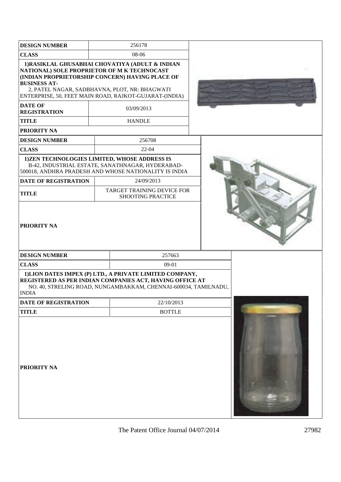| <b>DESIGN NUMBER</b>                                                                                        | 256178                                                                                                                                                                                                                      |  |
|-------------------------------------------------------------------------------------------------------------|-----------------------------------------------------------------------------------------------------------------------------------------------------------------------------------------------------------------------------|--|
| <b>CLASS</b>                                                                                                | 08-06                                                                                                                                                                                                                       |  |
| NATIONAL) SOLE PROPRIETOR OF M K TECHNOCAST<br><b>BUSINESS AT-</b><br><b>DATE OF</b><br><b>REGISTRATION</b> | 1) RASIKLAL GHUSABHAI CHOVATIYA (ADULT & INDIAN<br>(INDIAN PROPRIETORSHIP CONCERN) HAVING PLACE OF<br>2, PATEL NAGAR, SADBHAVNA, PLOT, NR: BHAGWATI<br>ENTERPRISE, 50, FEET MAIN ROAD, RAJKOT-GUJARAT-(INDIA)<br>03/09/2013 |  |
| <b>TITLE</b>                                                                                                | <b>HANDLE</b>                                                                                                                                                                                                               |  |
| PRIORITY NA                                                                                                 |                                                                                                                                                                                                                             |  |
| <b>DESIGN NUMBER</b>                                                                                        | 256708                                                                                                                                                                                                                      |  |
| <b>CLASS</b>                                                                                                | $22-04$                                                                                                                                                                                                                     |  |
| 1) ZEN TECHNOLOGIES LIMITED, WHOSE ADDRESS IS                                                               | B-42, INDUSTRIAL ESTATE, SANATHNAGAR, HYDERABAD-<br>500018, ANDHRA PRADESH AND WHOSE NATIONALITY IS INDIA                                                                                                                   |  |
| <b>DATE OF REGISTRATION</b>                                                                                 | 24/09/2013                                                                                                                                                                                                                  |  |
| <b>TITLE</b>                                                                                                | TARGET TRAINING DEVICE FOR<br><b>SHOOTING PRACTICE</b>                                                                                                                                                                      |  |
| <b>PRIORITY NA</b>                                                                                          |                                                                                                                                                                                                                             |  |
| <b>DESIGN NUMBER</b>                                                                                        | 257663                                                                                                                                                                                                                      |  |
| <b>CLASS</b>                                                                                                | 09-01                                                                                                                                                                                                                       |  |
| <b>INDIA</b>                                                                                                | 1) LION DATES IMPEX (P) LTD., A PRIVATE LIMITED COMPANY,<br>REGISTERED AS PER INDIAN COMPANIES ACT, HAVING OFFICE AT<br>NO. 40, STRELING ROAD, NUNGAMBAKKAM, CHENNAI-600034, TAMILNADU,                                     |  |
| <b>DATE OF REGISTRATION</b>                                                                                 | 22/10/2013                                                                                                                                                                                                                  |  |
| <b>TITLE</b>                                                                                                | <b>BOTTLE</b>                                                                                                                                                                                                               |  |
| PRIORITY NA                                                                                                 |                                                                                                                                                                                                                             |  |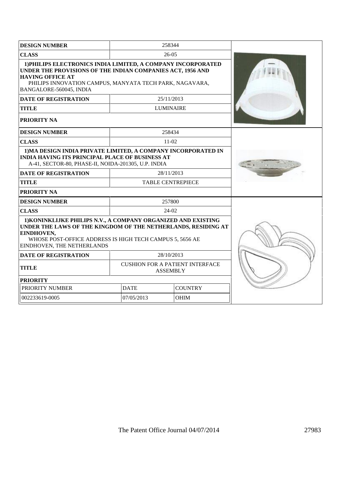| <b>DESIGN NUMBER</b>                                                                                                                                                                                                                        | 258344                                                    |                |  |
|---------------------------------------------------------------------------------------------------------------------------------------------------------------------------------------------------------------------------------------------|-----------------------------------------------------------|----------------|--|
| <b>CLASS</b>                                                                                                                                                                                                                                | $26 - 05$                                                 |                |  |
| 1) PHILIPS ELECTRONICS INDIA LIMITED, A COMPANY INCORPORATED<br>UNDER THE PROVISIONS OF THE INDIAN COMPANIES ACT, 1956 AND<br><b>HAVING OFFICE AT</b><br>PHILIPS INNOVATION CAMPUS, MANYATA TECH PARK, NAGAVARA,<br>BANGALORE-560045, INDIA |                                                           |                |  |
| <b>DATE OF REGISTRATION</b>                                                                                                                                                                                                                 | 25/11/2013                                                |                |  |
| <b>TITLE</b>                                                                                                                                                                                                                                | <b>LUMINAIRE</b>                                          |                |  |
| PRIORITY NA                                                                                                                                                                                                                                 |                                                           |                |  |
| <b>DESIGN NUMBER</b>                                                                                                                                                                                                                        | 258434                                                    |                |  |
| <b>CLASS</b>                                                                                                                                                                                                                                | $11-02$                                                   |                |  |
| 1) MA DESIGN INDIA PRIVATE LIMITED, A COMPANY INCORPORATED IN<br><b>INDIA HAVING ITS PRINCIPAL PLACE OF BUSINESS AT</b><br>A-41, SECTOR-80, PHASE-II, NOIDA-201305, U.P. INDIA                                                              |                                                           |                |  |
| <b>DATE OF REGISTRATION</b>                                                                                                                                                                                                                 | 28/11/2013                                                |                |  |
| <b>TITLE</b>                                                                                                                                                                                                                                | <b>TABLE CENTREPIECE</b>                                  |                |  |
| <b>PRIORITY NA</b>                                                                                                                                                                                                                          |                                                           |                |  |
| <b>DESIGN NUMBER</b>                                                                                                                                                                                                                        | 257800                                                    |                |  |
| <b>CLASS</b>                                                                                                                                                                                                                                | $24-02$                                                   |                |  |
| 1) KONINKLIJKE PHILIPS N.V., A COMPANY ORGANIZED AND EXISTING<br>UNDER THE LAWS OF THE KINGDOM OF THE NETHERLANDS, RESIDING AT<br>EINDHOVEN,<br>WHOSE POST-OFFICE ADDRESS IS HIGH TECH CAMPUS 5, 5656 AE<br>EINDHOVEN, THE NETHERLANDS      |                                                           |                |  |
| <b>DATE OF REGISTRATION</b>                                                                                                                                                                                                                 | 28/10/2013                                                |                |  |
| <b>TITLE</b>                                                                                                                                                                                                                                | <b>CUSHION FOR A PATIENT INTERFACE</b><br><b>ASSEMBLY</b> |                |  |
| <b>PRIORITY</b>                                                                                                                                                                                                                             |                                                           |                |  |
| PRIORITY NUMBER<br><b>DATE</b>                                                                                                                                                                                                              |                                                           | <b>COUNTRY</b> |  |
| 002233619-0005                                                                                                                                                                                                                              | 07/05/2013                                                | <b>OHIM</b>    |  |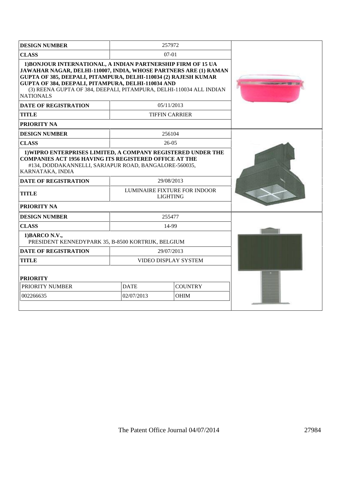| <b>DESIGN NUMBER</b>                                                                                                                                                                                                                                                                                                                                 |                      | 257972                                          |  |
|------------------------------------------------------------------------------------------------------------------------------------------------------------------------------------------------------------------------------------------------------------------------------------------------------------------------------------------------------|----------------------|-------------------------------------------------|--|
| <b>CLASS</b>                                                                                                                                                                                                                                                                                                                                         |                      | 07-01                                           |  |
| 1) BONJOUR INTERNATIONAL, A INDIAN PARTNERSHIP FIRM OF 15 UA<br>JAWAHAR NAGAR, DELHI-110007, INDIA, WHOSE PARTNERS ARE (1) RAMAN<br>GUPTA OF 385, DEEPALI, PITAMPURA, DELHI-110034 (2) RAJESH KUMAR<br>GUPTA OF 384, DEEPALI, PITAMPURA, DELHI-110034 AND<br>(3) REENA GUPTA OF 384, DEEPALI, PITAMPURA, DELHI-110034 ALL INDIAN<br><b>NATIONALS</b> |                      |                                                 |  |
| <b>DATE OF REGISTRATION</b>                                                                                                                                                                                                                                                                                                                          |                      | 05/11/2013                                      |  |
| <b>TITLE</b>                                                                                                                                                                                                                                                                                                                                         |                      | <b>TIFFIN CARRIER</b>                           |  |
| <b>PRIORITY NA</b>                                                                                                                                                                                                                                                                                                                                   |                      |                                                 |  |
| <b>DESIGN NUMBER</b>                                                                                                                                                                                                                                                                                                                                 |                      | 256104                                          |  |
| <b>CLASS</b>                                                                                                                                                                                                                                                                                                                                         |                      | $26-05$                                         |  |
| 1) WIPRO ENTERPRISES LIMITED, A COMPANY REGISTERED UNDER THE<br><b>COMPANIES ACT 1956 HAVING ITS REGISTERED OFFICE AT THE</b><br>#134, DODDAKANNELLI, SARJAPUR ROAD, BANGALORE-560035,<br>KARNATAKA, INDIA                                                                                                                                           |                      |                                                 |  |
| <b>DATE OF REGISTRATION</b>                                                                                                                                                                                                                                                                                                                          |                      | 29/08/2013                                      |  |
| <b>TITLE</b>                                                                                                                                                                                                                                                                                                                                         |                      | LUMINAIRE FIXTURE FOR INDOOR<br><b>LIGHTING</b> |  |
| PRIORITY NA                                                                                                                                                                                                                                                                                                                                          |                      |                                                 |  |
| <b>DESIGN NUMBER</b>                                                                                                                                                                                                                                                                                                                                 |                      | 255477                                          |  |
| <b>CLASS</b>                                                                                                                                                                                                                                                                                                                                         |                      | 14-99                                           |  |
| 1) BARCO N.V.,<br>PRESIDENT KENNEDYPARK 35, B-8500 KORTRIJK, BELGIUM                                                                                                                                                                                                                                                                                 |                      |                                                 |  |
| <b>DATE OF REGISTRATION</b>                                                                                                                                                                                                                                                                                                                          | 29/07/2013           |                                                 |  |
| <b>TITLE</b>                                                                                                                                                                                                                                                                                                                                         | VIDEO DISPLAY SYSTEM |                                                 |  |
| <b>PRIORITY</b>                                                                                                                                                                                                                                                                                                                                      |                      |                                                 |  |
| PRIORITY NUMBER                                                                                                                                                                                                                                                                                                                                      | <b>DATE</b>          | <b>COUNTRY</b>                                  |  |
| 002266635                                                                                                                                                                                                                                                                                                                                            | 02/07/2013           | <b>OHIM</b>                                     |  |
|                                                                                                                                                                                                                                                                                                                                                      |                      |                                                 |  |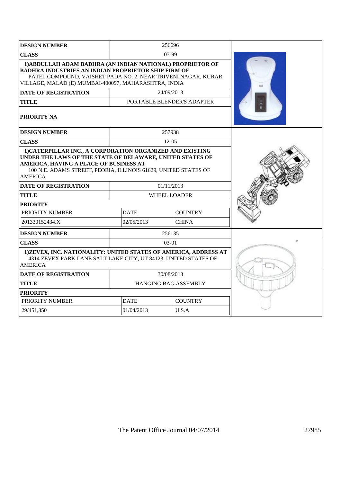| <b>DESIGN NUMBER</b>                                                                                                                                                                                                                                  |                      | 256696                     |  |
|-------------------------------------------------------------------------------------------------------------------------------------------------------------------------------------------------------------------------------------------------------|----------------------|----------------------------|--|
| <b>CLASS</b>                                                                                                                                                                                                                                          |                      | $07-99$                    |  |
| 1) ABDULLAH ADAM BADHRA (AN INDIAN NATIONAL) PROPRIETOR OF<br><b>BADHRA INDUSTRIES AN INDIAN PROPRIETOR SHIP FIRM OF</b><br>PATEL COMPOUND, VAISHET PADA NO. 2, NEAR TRIVENI NAGAR, KURAR<br>VILLAGE, MALAD (E) MUMBAI-400097, MAHARASHTRA, INDIA     |                      |                            |  |
| <b>DATE OF REGISTRATION</b>                                                                                                                                                                                                                           |                      | 24/09/2013                 |  |
| <b>TITLE</b>                                                                                                                                                                                                                                          |                      | PORTABLE BLENDER'S ADAPTER |  |
| <b>PRIORITY NA</b>                                                                                                                                                                                                                                    |                      |                            |  |
| <b>DESIGN NUMBER</b>                                                                                                                                                                                                                                  |                      | 257938                     |  |
| <b>CLASS</b>                                                                                                                                                                                                                                          |                      | $12-05$                    |  |
| 1) CATERPILLAR INC., A CORPORATION ORGANIZED AND EXISTING<br>UNDER THE LAWS OF THE STATE OF DELAWARE, UNITED STATES OF<br>AMERICA, HAVING A PLACE OF BUSINESS AT<br>100 N.E. ADAMS STREET, PEORIA, ILLINOIS 61629, UNITED STATES OF<br><b>AMERICA</b> |                      |                            |  |
| <b>DATE OF REGISTRATION</b>                                                                                                                                                                                                                           |                      | 01/11/2013                 |  |
| <b>TITLE</b>                                                                                                                                                                                                                                          | WHEEL LOADER         |                            |  |
| <b>PRIORITY</b>                                                                                                                                                                                                                                       |                      |                            |  |
| PRIORITY NUMBER                                                                                                                                                                                                                                       | <b>DATE</b>          | <b>COUNTRY</b>             |  |
| 201330152434.X                                                                                                                                                                                                                                        | 02/05/2013           | <b>CHINA</b>               |  |
| <b>DESIGN NUMBER</b>                                                                                                                                                                                                                                  |                      | 256135                     |  |
| <b>CLASS</b>                                                                                                                                                                                                                                          |                      | $03-01$                    |  |
| 1) ZEVEX, INC. NATIONALITY: UNITED STATES OF AMERICA, ADDRESS AT<br>4314 ZEVEX PARK LANE SALT LAKE CITY, UT 84123, UNITED STATES OF<br><b>AMERICA</b>                                                                                                 |                      |                            |  |
| <b>DATE OF REGISTRATION</b>                                                                                                                                                                                                                           |                      | 30/08/2013                 |  |
| <b>TITLE</b>                                                                                                                                                                                                                                          | HANGING BAG ASSEMBLY |                            |  |
| <b>PRIORITY</b>                                                                                                                                                                                                                                       |                      |                            |  |
| PRIORITY NUMBER                                                                                                                                                                                                                                       | <b>DATE</b>          | <b>COUNTRY</b>             |  |
| 29/451,350                                                                                                                                                                                                                                            | 01/04/2013           | U.S.A.                     |  |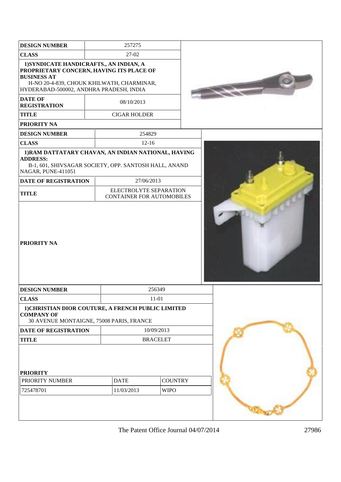| <b>DESIGN NUMBER</b>                                                                                                                                                                              | 257275                                                     |                 |  |
|---------------------------------------------------------------------------------------------------------------------------------------------------------------------------------------------------|------------------------------------------------------------|-----------------|--|
| <b>CLASS</b>                                                                                                                                                                                      | 27-02                                                      |                 |  |
| 1) SYNDICATE HANDICRAFTS., AN INDIAN, A<br>PROPRIETARY CONCERN, HAVING ITS PLACE OF<br><b>BUSINESS AT</b><br>H-NO 20-4-839, CHOUK KHILWATH, CHARMINAR,<br>HYDERABAD-500002, ANDHRA PRADESH, INDIA |                                                            |                 |  |
| <b>DATE OF</b><br><b>REGISTRATION</b>                                                                                                                                                             | 08/10/2013                                                 |                 |  |
| <b>TITLE</b>                                                                                                                                                                                      | <b>CIGAR HOLDER</b>                                        |                 |  |
| <b>PRIORITY NA</b>                                                                                                                                                                                |                                                            |                 |  |
| <b>DESIGN NUMBER</b>                                                                                                                                                                              | 254829                                                     |                 |  |
| <b>CLASS</b>                                                                                                                                                                                      | $12 - 16$                                                  |                 |  |
| 1) RAM DATTATARY CHAVAN, AN INDIAN NATIONAL, HAVING<br><b>ADDRESS:</b>                                                                                                                            |                                                            |                 |  |
| B-1, 601, SHIVSAGAR SOCIETY, OPP. SANTOSH HALL, ANAND<br>NAGAR, PUNE-411051                                                                                                                       |                                                            |                 |  |
| <b>DATE OF REGISTRATION</b>                                                                                                                                                                       | 27/06/2013                                                 |                 |  |
| <b>TITLE</b>                                                                                                                                                                                      | ELECTROLYTE SEPARATION<br><b>CONTAINER FOR AUTOMOBILES</b> |                 |  |
| <b>PRIORITY NA</b>                                                                                                                                                                                |                                                            |                 |  |
| <b>DESIGN NUMBER</b>                                                                                                                                                                              |                                                            | 256349          |  |
| <b>CLASS</b>                                                                                                                                                                                      |                                                            | $11 - 01$       |  |
| 1) CHRISTIAN DIOR COUTURE, A FRENCH PUBLIC LIMITED<br><b>COMPANY OF</b><br>30 AVENUE MONTAIGNE, 75008 PARIS, FRANCE                                                                               |                                                            |                 |  |
| <b>DATE OF REGISTRATION</b>                                                                                                                                                                       |                                                            | 10/09/2013      |  |
| <b>TITLE</b>                                                                                                                                                                                      |                                                            | <b>BRACELET</b> |  |
| <b>PRIORITY</b>                                                                                                                                                                                   |                                                            |                 |  |
| PRIORITY NUMBER                                                                                                                                                                                   | <b>DATE</b>                                                | <b>COUNTRY</b>  |  |
| 725478701                                                                                                                                                                                         | 11/03/2013                                                 | <b>WIPO</b>     |  |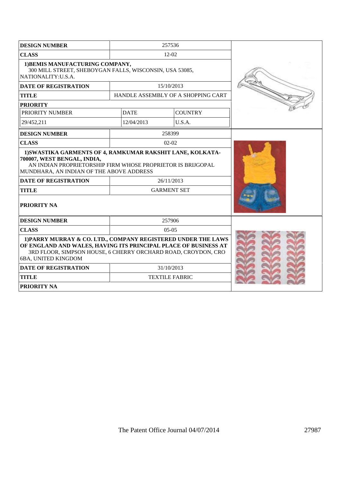| <b>DESIGN NUMBER</b>                                                                                                                                                                                                     |                    | 257536                             |  |
|--------------------------------------------------------------------------------------------------------------------------------------------------------------------------------------------------------------------------|--------------------|------------------------------------|--|
| <b>CLASS</b>                                                                                                                                                                                                             |                    | $12 - 02$                          |  |
| 1) BEMIS MANUFACTURING COMPANY,<br>300 MILL STREET, SHEBOYGAN FALLS, WISCONSIN, USA 53085,<br>NATIONALITY:U.S.A.                                                                                                         |                    |                                    |  |
| <b>DATE OF REGISTRATION</b>                                                                                                                                                                                              |                    | 15/10/2013                         |  |
| <b>TITLE</b>                                                                                                                                                                                                             |                    | HANDLE ASSEMBLY OF A SHOPPING CART |  |
| <b>PRIORITY</b>                                                                                                                                                                                                          |                    |                                    |  |
| PRIORITY NUMBER                                                                                                                                                                                                          | <b>DATE</b>        | <b>COUNTRY</b>                     |  |
| 29/452,211                                                                                                                                                                                                               | 12/04/2013         | U.S.A.                             |  |
| <b>DESIGN NUMBER</b>                                                                                                                                                                                                     |                    | 258399                             |  |
| <b>CLASS</b>                                                                                                                                                                                                             |                    | $02 - 02$                          |  |
| 1) SWASTIKA GARMENTS OF 4, RAMKUMAR RAKSHIT LANE, KOLKATA-<br>700007, WEST BENGAL, INDIA,<br>AN INDIAN PROPRIETORSHIP FIRM WHOSE PROPRIETOR IS BRIJGOPAL<br>MUNDHARA, AN INDIAN OF THE ABOVE ADDRESS                     |                    |                                    |  |
| <b>DATE OF REGISTRATION</b>                                                                                                                                                                                              |                    | 26/11/2013                         |  |
| <b>TITLE</b>                                                                                                                                                                                                             | <b>GARMENT SET</b> |                                    |  |
| PRIORITY NA                                                                                                                                                                                                              |                    |                                    |  |
| <b>DESIGN NUMBER</b>                                                                                                                                                                                                     |                    | 257906                             |  |
| <b>CLASS</b>                                                                                                                                                                                                             |                    | $0.5 - 0.5$                        |  |
| 1) PARRY MURRAY & CO. LTD., COMPANY REGISTERED UNDER THE LAWS<br>OF ENGLAND AND WALES, HAVING ITS PRINCIPAL PLACE OF BUSINESS AT<br>3RD FLOOR, SIMPSON HOUSE, 6 CHERRY ORCHARD ROAD, CROYDON, CRO<br>6BA, UNITED KINGDOM |                    |                                    |  |
| <b>DATE OF REGISTRATION</b>                                                                                                                                                                                              | 31/10/2013         |                                    |  |
| <b>TITLE</b>                                                                                                                                                                                                             |                    | <b>TEXTILE FABRIC</b>              |  |
| <b>PRIORITY NA</b>                                                                                                                                                                                                       |                    |                                    |  |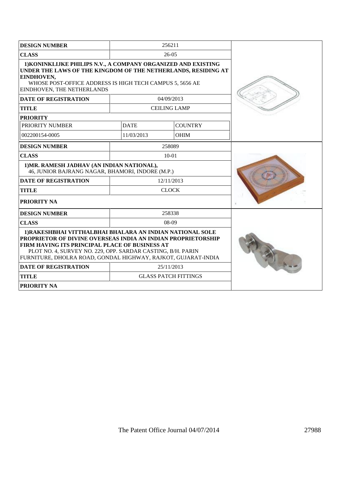| <b>DESIGN NUMBER</b>                                                                                                                                                                                                                                                                                               |              | 256211                      |  |
|--------------------------------------------------------------------------------------------------------------------------------------------------------------------------------------------------------------------------------------------------------------------------------------------------------------------|--------------|-----------------------------|--|
| <b>CLASS</b>                                                                                                                                                                                                                                                                                                       |              | $26-05$                     |  |
| 1) KONINKLIJKE PHILIPS N.V., A COMPANY ORGANIZED AND EXISTING<br>UNDER THE LAWS OF THE KINGDOM OF THE NETHERLANDS, RESIDING AT<br>EINDHOVEN,<br>WHOSE POST-OFFICE ADDRESS IS HIGH TECH CAMPUS 5, 5656 AE<br>EINDHOVEN, THE NETHERLANDS                                                                             |              |                             |  |
| <b>DATE OF REGISTRATION</b>                                                                                                                                                                                                                                                                                        |              | 04/09/2013                  |  |
| <b>TITLE</b>                                                                                                                                                                                                                                                                                                       |              | <b>CEILING LAMP</b>         |  |
| <b>PRIORITY</b>                                                                                                                                                                                                                                                                                                    |              |                             |  |
| PRIORITY NUMBER                                                                                                                                                                                                                                                                                                    | <b>DATE</b>  | <b>COUNTRY</b>              |  |
| 002200154-0005                                                                                                                                                                                                                                                                                                     | 11/03/2013   | <b>OHIM</b>                 |  |
| <b>DESIGN NUMBER</b>                                                                                                                                                                                                                                                                                               |              | 258089                      |  |
| <b>CLASS</b>                                                                                                                                                                                                                                                                                                       |              | $10-01$                     |  |
| 1) MR. RAMESH JADHAV (AN INDIAN NATIONAL),<br>46, JUNIOR BAJRANG NAGAR, BHAMORI, INDORE (M.P.)                                                                                                                                                                                                                     |              |                             |  |
| <b>DATE OF REGISTRATION</b>                                                                                                                                                                                                                                                                                        | 12/11/2013   |                             |  |
| <b>TITLE</b>                                                                                                                                                                                                                                                                                                       | <b>CLOCK</b> |                             |  |
| PRIORITY NA                                                                                                                                                                                                                                                                                                        |              |                             |  |
| <b>DESIGN NUMBER</b>                                                                                                                                                                                                                                                                                               |              | 258338                      |  |
| <b>CLASS</b>                                                                                                                                                                                                                                                                                                       |              | $08-09$                     |  |
| 1) RAKESHBHAI VITTHALBHAI BHALARA AN INDIAN NATIONAL SOLE<br><b>PROPRIETOR OF DIVINE OVERSEAS INDIA AN INDIAN PROPRIETORSHIP</b><br>FIRM HAVING ITS PRINCIPAL PLACE OF BUSINESS AT<br>PLOT NO. 4, SURVEY NO. 229, OPP. SARDAR CASTING, B/H. PARIN<br>FURNITURE, DHOLRA ROAD, GONDAL HIGHWAY, RAJKOT, GUJARAT-INDIA |              |                             |  |
| <b>DATE OF REGISTRATION</b>                                                                                                                                                                                                                                                                                        |              | 25/11/2013                  |  |
| <b>TITLE</b>                                                                                                                                                                                                                                                                                                       |              | <b>GLASS PATCH FITTINGS</b> |  |
| <b>PRIORITY NA</b>                                                                                                                                                                                                                                                                                                 |              |                             |  |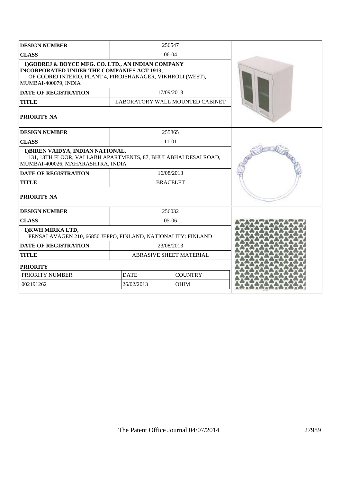| <b>DESIGN NUMBER</b>                                                                                                                                                                          |             | 256547                          |  |
|-----------------------------------------------------------------------------------------------------------------------------------------------------------------------------------------------|-------------|---------------------------------|--|
| <b>CLASS</b>                                                                                                                                                                                  |             | 06-04                           |  |
| 1)GODREJ & BOYCE MFG. CO. LTD., AN INDIAN COMPANY<br><b>INCORPORATED UNDER THE COMPANIES ACT 1913,</b><br>OF GODREJ INTERIO, PLANT 4, PIROJSHANAGER, VIKHROLI (WEST),<br>MUMBAI-400079, INDIA |             |                                 |  |
| <b>DATE OF REGISTRATION</b>                                                                                                                                                                   |             | 17/09/2013                      |  |
| <b>TITLE</b>                                                                                                                                                                                  |             | LABORATORY WALL MOUNTED CABINET |  |
| <b>PRIORITY NA</b>                                                                                                                                                                            |             |                                 |  |
| <b>DESIGN NUMBER</b>                                                                                                                                                                          |             | 255865                          |  |
| <b>CLASS</b>                                                                                                                                                                                  |             | $11-01$                         |  |
| 1) BIREN VAIDYA, INDIAN NATIONAL,<br>131, 13TH FLOOR, VALLABH APARTMENTS, 87, BHULABHAI DESAI ROAD,<br>MUMBAI-400026, MAHARASHTRA, INDIA                                                      |             |                                 |  |
| <b>DATE OF REGISTRATION</b>                                                                                                                                                                   |             | 16/08/2013                      |  |
| <b>TITLE</b>                                                                                                                                                                                  |             | <b>BRACELET</b>                 |  |
| <b>PRIORITY NA</b>                                                                                                                                                                            |             |                                 |  |
| <b>DESIGN NUMBER</b>                                                                                                                                                                          |             | 256032                          |  |
| <b>CLASS</b>                                                                                                                                                                                  |             | 05-06                           |  |
| 1) KWH MIRKA LTD,<br>PENSALAVÄGEN 210, 66850 JEPPO, FINLAND, NATIONALITY: FINLAND                                                                                                             |             |                                 |  |
| <b>DATE OF REGISTRATION</b>                                                                                                                                                                   |             | 23/08/2013                      |  |
| <b>TITLE</b>                                                                                                                                                                                  |             | ABRASIVE SHEET MATERIAL         |  |
| <b>PRIORITY</b>                                                                                                                                                                               |             |                                 |  |
| PRIORITY NUMBER                                                                                                                                                                               | <b>DATE</b> | <b>COUNTRY</b>                  |  |
| 002191262<br>26/02/2013<br><b>OHIM</b>                                                                                                                                                        |             |                                 |  |
|                                                                                                                                                                                               |             |                                 |  |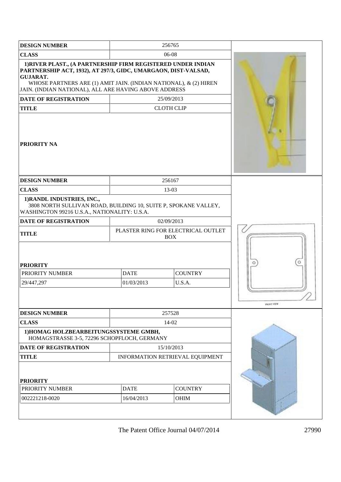| <b>DESIGN NUMBER</b>                                                                                                                                                                                                                                                           |                                 | 256765                                           |                   |
|--------------------------------------------------------------------------------------------------------------------------------------------------------------------------------------------------------------------------------------------------------------------------------|---------------------------------|--------------------------------------------------|-------------------|
| <b>CLASS</b>                                                                                                                                                                                                                                                                   |                                 | 06-08                                            |                   |
| 1) RIVER PLAST., (A PARTNERSHIP FIRM REGISTERED UNDER INDIAN<br>PARTNERSHIP ACT, 1932), AT 297/3, GIDC, UMARGAON, DIST-VALSAD,<br><b>GUJARAT.</b><br>WHOSE PARTNERS ARE (1) AMIT JAIN. (INDIAN NATIONAL), & (2) HIREN<br>JAIN. (INDIAN NATIONAL), ALL ARE HAVING ABOVE ADDRESS |                                 |                                                  |                   |
| <b>DATE OF REGISTRATION</b>                                                                                                                                                                                                                                                    |                                 | 25/09/2013                                       |                   |
| <b>TITLE</b>                                                                                                                                                                                                                                                                   |                                 | <b>CLOTH CLIP</b>                                |                   |
| <b>PRIORITY NA</b>                                                                                                                                                                                                                                                             |                                 |                                                  |                   |
| <b>DESIGN NUMBER</b>                                                                                                                                                                                                                                                           |                                 | 256167                                           |                   |
| <b>CLASS</b>                                                                                                                                                                                                                                                                   |                                 | 13-03                                            |                   |
| 1) RANDL INDUSTRIES, INC.,<br>3808 NORTH SULLIVAN ROAD, BUILDING 10, SUITE P, SPOKANE VALLEY,<br>WASHINGTON 99216 U.S.A., NATIONALITY: U.S.A.                                                                                                                                  |                                 |                                                  |                   |
| <b>DATE OF REGISTRATION</b>                                                                                                                                                                                                                                                    |                                 | 02/09/2013                                       |                   |
| <b>TITLE</b>                                                                                                                                                                                                                                                                   |                                 | PLASTER RING FOR ELECTRICAL OUTLET<br><b>BOX</b> |                   |
| <b>PRIORITY</b>                                                                                                                                                                                                                                                                |                                 |                                                  |                   |
| PRIORITY NUMBER                                                                                                                                                                                                                                                                | <b>DATE</b><br><b>COUNTRY</b>   |                                                  |                   |
| 29/447,297                                                                                                                                                                                                                                                                     | 01/03/2013                      | U.S.A.                                           | <b>FRONT VIEW</b> |
| <b>DESIGN NUMBER</b>                                                                                                                                                                                                                                                           |                                 | 257528                                           |                   |
| <b>CLASS</b>                                                                                                                                                                                                                                                                   |                                 | 14-02                                            |                   |
| 1) HOMAG HOLZBEARBEITUNGSSYSTEME GMBH,<br>HOMAGSTRASSE 3-5, 72296 SCHOPFLOCH, GERMANY                                                                                                                                                                                          |                                 |                                                  |                   |
| <b>DATE OF REGISTRATION</b>                                                                                                                                                                                                                                                    |                                 | 15/10/2013                                       |                   |
| <b>TITLE</b>                                                                                                                                                                                                                                                                   | INFORMATION RETRIEVAL EQUIPMENT |                                                  |                   |
| <b>PRIORITY</b>                                                                                                                                                                                                                                                                |                                 |                                                  |                   |
| PRIORITY NUMBER                                                                                                                                                                                                                                                                | <b>DATE</b>                     | <b>COUNTRY</b>                                   |                   |
| 002221218-0020                                                                                                                                                                                                                                                                 | 16/04/2013                      | OHIM                                             |                   |
|                                                                                                                                                                                                                                                                                |                                 |                                                  |                   |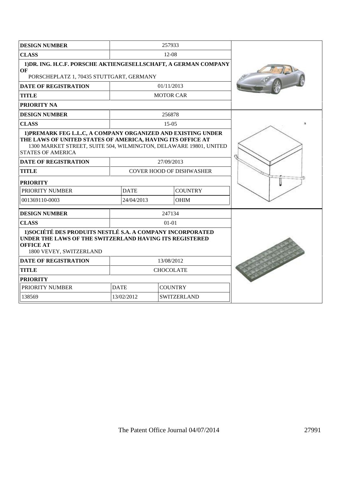| <b>DESIGN NUMBER</b>                                                                                                                                                                                                        |                                  | 257933           |  |  |
|-----------------------------------------------------------------------------------------------------------------------------------------------------------------------------------------------------------------------------|----------------------------------|------------------|--|--|
| <b>CLASS</b>                                                                                                                                                                                                                | $12-08$                          |                  |  |  |
| 1) DR. ING. H.C.F. PORSCHE AKTIENGESELLSCHAFT, A GERMAN COMPANY<br>OF<br>PORSCHEPLATZ 1, 70435 STUTTGART, GERMANY                                                                                                           |                                  |                  |  |  |
| <b>DATE OF REGISTRATION</b>                                                                                                                                                                                                 |                                  | 01/11/2013       |  |  |
| <b>TITLE</b>                                                                                                                                                                                                                |                                  | <b>MOTOR CAR</b> |  |  |
| <b>PRIORITY NA</b>                                                                                                                                                                                                          |                                  |                  |  |  |
| <b>DESIGN NUMBER</b>                                                                                                                                                                                                        |                                  | 256878           |  |  |
| <b>CLASS</b>                                                                                                                                                                                                                |                                  | 15-05            |  |  |
| 1) PREMARK FEG L.L.C, A COMPANY ORGANIZED AND EXISTING UNDER<br>THE LAWS OF UNITED STATES OF AMERICA, HAVING ITS OFFICE AT<br>1300 MARKET STREET, SUITE 504, WILMINGTON, DELAWARE 19801, UNITED<br><b>STATES OF AMERICA</b> |                                  |                  |  |  |
| <b>DATE OF REGISTRATION</b>                                                                                                                                                                                                 |                                  | 27/09/2013       |  |  |
| <b>TITLE</b>                                                                                                                                                                                                                | <b>COVER HOOD OF DISHWASHER</b>  |                  |  |  |
| <b>PRIORITY</b>                                                                                                                                                                                                             |                                  |                  |  |  |
| PRIORITY NUMBER                                                                                                                                                                                                             | <b>DATE</b>                      | <b>COUNTRY</b>   |  |  |
| 001369110-0003                                                                                                                                                                                                              | 24/04/2013                       | <b>OHIM</b>      |  |  |
| <b>DESIGN NUMBER</b>                                                                                                                                                                                                        |                                  | 247134           |  |  |
| <b>CLASS</b>                                                                                                                                                                                                                |                                  | $01-01$          |  |  |
| 1) SOCIÉTÉ DES PRODUITS NESTLÉ S.A. A COMPANY INCORPORATED<br>UNDER THE LAWS OF THE SWITZERLAND HAVING ITS REGISTERED<br><b>OFFICE AT</b><br>1800 VEVEY, SWITZERLAND                                                        |                                  |                  |  |  |
| <b>DATE OF REGISTRATION</b>                                                                                                                                                                                                 | 13/08/2012                       |                  |  |  |
| <b>TITLE</b>                                                                                                                                                                                                                | <b>CHOCOLATE</b>                 |                  |  |  |
| <b>PRIORITY</b>                                                                                                                                                                                                             |                                  |                  |  |  |
| PRIORITY NUMBER                                                                                                                                                                                                             | <b>DATE</b>                      | <b>COUNTRY</b>   |  |  |
| 138569                                                                                                                                                                                                                      | 13/02/2012<br><b>SWITZERLAND</b> |                  |  |  |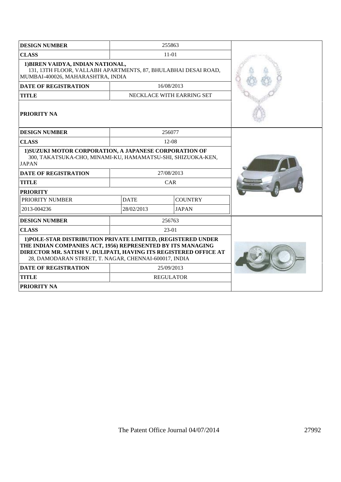| <b>DESIGN NUMBER</b>                                                                                                                                                                                                                                     |             | 255863                    |  |
|----------------------------------------------------------------------------------------------------------------------------------------------------------------------------------------------------------------------------------------------------------|-------------|---------------------------|--|
| <b>CLASS</b>                                                                                                                                                                                                                                             |             | $11-01$                   |  |
| 1) BIREN VAIDYA, INDIAN NATIONAL,<br>131, 13TH FLOOR, VALLABH APARTMENTS, 87, BHULABHAI DESAI ROAD,<br>MUMBAI-400026, MAHARASHTRA, INDIA                                                                                                                 |             |                           |  |
| <b>DATE OF REGISTRATION</b>                                                                                                                                                                                                                              |             | 16/08/2013                |  |
| <b>TITLE</b>                                                                                                                                                                                                                                             |             | NECKLACE WITH EARRING SET |  |
| <b>PRIORITY NA</b>                                                                                                                                                                                                                                       |             |                           |  |
| <b>DESIGN NUMBER</b>                                                                                                                                                                                                                                     |             | 256077                    |  |
| <b>CLASS</b>                                                                                                                                                                                                                                             |             | $12-08$                   |  |
| 1) SUZUKI MOTOR CORPORATION, A JAPANESE CORPORATION OF<br>300, TAKATSUKA-CHO, MINAMI-KU, HAMAMATSU-SHI, SHIZUOKA-KEN,<br><b>JAPAN</b>                                                                                                                    |             |                           |  |
| <b>DATE OF REGISTRATION</b>                                                                                                                                                                                                                              |             | 27/08/2013                |  |
| <b>TITLE</b>                                                                                                                                                                                                                                             |             | CAR                       |  |
| <b>PRIORITY</b>                                                                                                                                                                                                                                          |             |                           |  |
| PRIORITY NUMBER                                                                                                                                                                                                                                          | <b>DATE</b> | <b>COUNTRY</b>            |  |
| 2013-004236                                                                                                                                                                                                                                              | 28/02/2013  | <b>JAPAN</b>              |  |
| <b>DESIGN NUMBER</b>                                                                                                                                                                                                                                     |             | 256763                    |  |
| <b>CLASS</b>                                                                                                                                                                                                                                             |             | 23-01                     |  |
| 1) POLE-STAR DISTRIBUTION PRIVATE LIMITED, (REGISTERED UNDER<br>THE INDIAN COMPANIES ACT, 1956) REPRESENTED BY ITS MANAGING<br>DIRECTOR MR. SATISH V. DULIPATI, HAVING ITS REGISTERED OFFICE AT<br>28, DAMODARAN STREET, T. NAGAR, CHENNAI-600017, INDIA |             |                           |  |
| <b>DATE OF REGISTRATION</b>                                                                                                                                                                                                                              |             | 25/09/2013                |  |
| <b>TITLE</b>                                                                                                                                                                                                                                             |             | <b>REGULATOR</b>          |  |
| <b>PRIORITY NA</b>                                                                                                                                                                                                                                       |             |                           |  |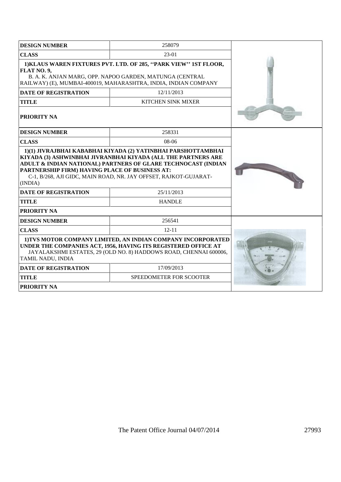| <b>DESIGN NUMBER</b>                                                                                                                                                                                                                                            | 258079                  |  |
|-----------------------------------------------------------------------------------------------------------------------------------------------------------------------------------------------------------------------------------------------------------------|-------------------------|--|
| <b>CLASS</b>                                                                                                                                                                                                                                                    | 23-01                   |  |
| 1) KLAUS WAREN FIXTURES PVT. LTD. OF 285, "PARK VIEW" 1ST FLOOR,<br>FLAT NO. 9,<br>B. A. K. ANJAN MARG, OPP. NAPOO GARDEN, MATUNGA (CENTRAL<br>RAILWAY) (E), MUMBAI-400019, MAHARASHTRA, INDIA, INDIAN COMPANY                                                  |                         |  |
| <b>DATE OF REGISTRATION</b>                                                                                                                                                                                                                                     | 12/11/2013              |  |
| <b>TITLE</b>                                                                                                                                                                                                                                                    | KITCHEN SINK MIXER      |  |
| <b>PRIORITY NA</b>                                                                                                                                                                                                                                              |                         |  |
| <b>DESIGN NUMBER</b>                                                                                                                                                                                                                                            | 258331                  |  |
| <b>CLASS</b>                                                                                                                                                                                                                                                    | 08-06                   |  |
| KIYADA (3) ASHWINBHAI JIVRANBHAI KIYADA (ALL THE PARTNERS ARE<br>ADULT & INDIAN NATIONAL) PARTNERS OF GLARE TECHNOCAST (INDIAN<br>PARTNERSHIP FIRM) HAVING PLACE OF BUSINESS AT:<br>C-1, B/268, AJI GIDC, MAIN ROAD, NR. JAY OFFSET, RAJKOT-GUJARAT-<br>(INDIA) |                         |  |
| <b>DATE OF REGISTRATION</b>                                                                                                                                                                                                                                     | 25/11/2013              |  |
| <b>TITLE</b><br><b>PRIORITY NA</b>                                                                                                                                                                                                                              | <b>HANDLE</b>           |  |
| <b>DESIGN NUMBER</b>                                                                                                                                                                                                                                            | 256541                  |  |
| <b>CLASS</b>                                                                                                                                                                                                                                                    | $12 - 11$               |  |
| 1)TVS MOTOR COMPANY LIMITED, AN INDIAN COMPANY INCORPORATED<br>UNDER THE COMPANIES ACT, 1956, HAVING ITS REGISTERED OFFICE AT<br>JAYALAKSHMI ESTATES, 29 (OLD NO. 8) HADDOWS ROAD, CHENNAI 600006,<br>TAMIL NADU, INDIA                                         |                         |  |
| <b>DATE OF REGISTRATION</b>                                                                                                                                                                                                                                     | 17/09/2013              |  |
| <b>TITLE</b>                                                                                                                                                                                                                                                    | SPEEDOMETER FOR SCOOTER |  |
| <b>PRIORITY NA</b>                                                                                                                                                                                                                                              |                         |  |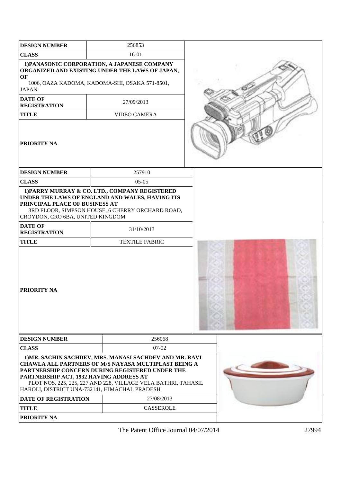| <b>DESIGN NUMBER</b>                                                                     | 256853                                                                                                                                                                                                                              |  |
|------------------------------------------------------------------------------------------|-------------------------------------------------------------------------------------------------------------------------------------------------------------------------------------------------------------------------------------|--|
| <b>CLASS</b>                                                                             | $16-01$                                                                                                                                                                                                                             |  |
| OF                                                                                       | 1) PANASONIC CORPORATION, A JAPANESE COMPANY<br>ORGANIZED AND EXISTING UNDER THE LAWS OF JAPAN,                                                                                                                                     |  |
| <b>JAPAN</b>                                                                             | 1006, OAZA KADOMA, KADOMA-SHI, OSAKA 571-8501,                                                                                                                                                                                      |  |
| <b>DATE OF</b><br><b>REGISTRATION</b>                                                    | 27/09/2013                                                                                                                                                                                                                          |  |
| <b>TITLE</b>                                                                             | VIDEO CAMERA                                                                                                                                                                                                                        |  |
| <b>PRIORITY NA</b>                                                                       |                                                                                                                                                                                                                                     |  |
| <b>DESIGN NUMBER</b>                                                                     | 257910                                                                                                                                                                                                                              |  |
| <b>CLASS</b>                                                                             | $05-05$                                                                                                                                                                                                                             |  |
| PRINCIPAL PLACE OF BUSINESS AT<br>CROYDON, CRO 6BA, UNITED KINGDOM                       | 1) PARRY MURRAY & CO. LTD., COMPANY REGISTERED<br>UNDER THE LAWS OF ENGLAND AND WALES, HAVING ITS<br>3RD FLOOR, SIMPSON HOUSE, 6 CHERRY ORCHARD ROAD,                                                                               |  |
| <b>DATE OF</b><br><b>REGISTRATION</b>                                                    | 31/10/2013                                                                                                                                                                                                                          |  |
| <b>TITLE</b>                                                                             | <b>TEXTILE FABRIC</b>                                                                                                                                                                                                               |  |
| <b>PRIORITY NA</b>                                                                       |                                                                                                                                                                                                                                     |  |
| <b>DESIGN NUMBER</b>                                                                     | 256068                                                                                                                                                                                                                              |  |
| <b>CLASS</b>                                                                             | $07 - 02$                                                                                                                                                                                                                           |  |
| PARTNERSHIP ACT, 1932 HAVING ADDRESS AT<br>HAROLI, DISTRICT UNA-732141, HIMACHAL PRADESH | 1) MR. SACHIN SACHDEV, MRS. MANASI SACHDEV AND MR. RAVI<br>CHAWLA ALL PARTNERS OF M/S NAYASA MULTIPLAST BEING A<br>PARTNERSHIP CONCERN DURING REGISTERED UNDER THE<br>PLOT NOS. 225, 225, 227 AND 228, VILLAGE VELA BATHRI, TAHASIL |  |
| <b>DATE OF REGISTRATION</b>                                                              | 27/08/2013                                                                                                                                                                                                                          |  |
| <b>TITLE</b>                                                                             | <b>CASSEROLE</b>                                                                                                                                                                                                                    |  |
| <b>PRIORITY NA</b>                                                                       |                                                                                                                                                                                                                                     |  |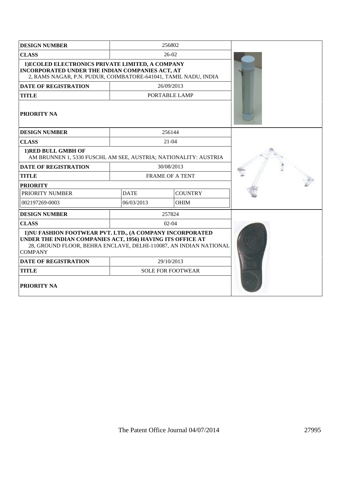| <b>DESIGN NUMBER</b>                                                                                                                                                                                           | 256802                        |                          |  |
|----------------------------------------------------------------------------------------------------------------------------------------------------------------------------------------------------------------|-------------------------------|--------------------------|--|
| <b>CLASS</b>                                                                                                                                                                                                   |                               | $26-02$                  |  |
| 1) ECOLED ELECTRONICS PRIVATE LIMITED, A COMPANY<br>INCORPORATED UNDER THE INDIAN COMPANIES ACT, AT<br>2, RAMS NAGAR, P.N. PUDUR, COIMBATORE-641041, TAMIL NADU, INDIA                                         |                               |                          |  |
| <b>DATE OF REGISTRATION</b>                                                                                                                                                                                    | 26/09/2013                    |                          |  |
| <b>TITLE</b>                                                                                                                                                                                                   | PORTABLE LAMP                 |                          |  |
| <b>PRIORITY NA</b>                                                                                                                                                                                             |                               |                          |  |
| <b>DESIGN NUMBER</b>                                                                                                                                                                                           |                               | 256144                   |  |
| <b>CLASS</b>                                                                                                                                                                                                   | $21 - 04$                     |                          |  |
| 1) RED BULL GMBH OF<br>AM BRUNNEN 1, 5330 FUSCHL AM SEE, AUSTRIA; NATIONALITY: AUSTRIA                                                                                                                         |                               |                          |  |
| <b>DATE OF REGISTRATION</b>                                                                                                                                                                                    | 30/08/2013                    |                          |  |
| <b>TITLE</b>                                                                                                                                                                                                   | <b>FRAME OF A TENT</b>        |                          |  |
| <b>PRIORITY</b>                                                                                                                                                                                                |                               |                          |  |
| PRIORITY NUMBER                                                                                                                                                                                                | <b>DATE</b><br><b>COUNTRY</b> |                          |  |
| 002197269-0003                                                                                                                                                                                                 | 06/03/2013                    | <b>OHIM</b>              |  |
| <b>DESIGN NUMBER</b>                                                                                                                                                                                           |                               | 257824                   |  |
| <b>CLASS</b>                                                                                                                                                                                                   |                               | $02-04$                  |  |
| 1) NU FASHION FOOTWEAR PVT. LTD., (A COMPANY INCORPORATED<br>UNDER THE INDIAN COMPANIES ACT, 1956) HAVING ITS OFFICE AT<br>28, GROUND FLOOR, BEHRA ENCLAVE, DELHI-110087, AN INDIAN NATIONAL<br><b>COMPANY</b> |                               |                          |  |
| <b>DATE OF REGISTRATION</b>                                                                                                                                                                                    |                               | 29/10/2013               |  |
| <b>TITLE</b>                                                                                                                                                                                                   |                               | <b>SOLE FOR FOOTWEAR</b> |  |
| <b>PRIORITY NA</b>                                                                                                                                                                                             |                               |                          |  |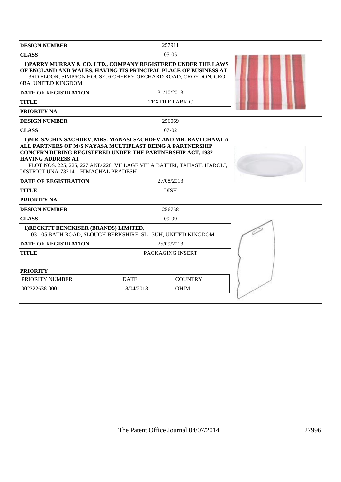| <b>DESIGN NUMBER</b>                                                                                                                                                                                                                                                                                                                          | 257911                    |                       |  |  |  |
|-----------------------------------------------------------------------------------------------------------------------------------------------------------------------------------------------------------------------------------------------------------------------------------------------------------------------------------------------|---------------------------|-----------------------|--|--|--|
| <b>CLASS</b>                                                                                                                                                                                                                                                                                                                                  | $0.5 - 0.5$               |                       |  |  |  |
| 1) PARRY MURRAY & CO. LTD., COMPANY REGISTERED UNDER THE LAWS<br>OF ENGLAND AND WALES, HAVING ITS PRINCIPAL PLACE OF BUSINESS AT<br>3RD FLOOR, SIMPSON HOUSE, 6 CHERRY ORCHARD ROAD, CROYDON, CRO<br>6BA, UNITED KINGDOM                                                                                                                      |                           |                       |  |  |  |
| <b>DATE OF REGISTRATION</b>                                                                                                                                                                                                                                                                                                                   | 31/10/2013                |                       |  |  |  |
| <b>TITLE</b>                                                                                                                                                                                                                                                                                                                                  |                           | <b>TEXTILE FABRIC</b> |  |  |  |
| PRIORITY NA                                                                                                                                                                                                                                                                                                                                   |                           |                       |  |  |  |
| <b>DESIGN NUMBER</b>                                                                                                                                                                                                                                                                                                                          |                           | 256069                |  |  |  |
| <b>CLASS</b>                                                                                                                                                                                                                                                                                                                                  |                           | $07 - 02$             |  |  |  |
| 1) MR. SACHIN SACHDEV, MRS. MANASI SACHDEV AND MR. RAVI CHAWLA<br>ALL PARTNERS OF M/S NAYASA MULTIPLAST BEING A PARTNERSHIP<br><b>CONCERN DURING REGISTERED UNDER THE PARTNERSHIP ACT, 1932</b><br><b>HAVING ADDRESS AT</b><br>PLOT NOS. 225, 225, 227 AND 228, VILLAGE VELA BATHRI, TAHASIL HAROLI,<br>DISTRICT UNA-732141, HIMACHAL PRADESH |                           |                       |  |  |  |
| <b>DATE OF REGISTRATION</b>                                                                                                                                                                                                                                                                                                                   | 27/08/2013                |                       |  |  |  |
| <b>TITLE</b>                                                                                                                                                                                                                                                                                                                                  | <b>DISH</b>               |                       |  |  |  |
| <b>PRIORITY NA</b>                                                                                                                                                                                                                                                                                                                            |                           |                       |  |  |  |
| <b>DESIGN NUMBER</b>                                                                                                                                                                                                                                                                                                                          | 256758                    |                       |  |  |  |
| <b>CLASS</b>                                                                                                                                                                                                                                                                                                                                  |                           | $09-99$               |  |  |  |
| 1) RECKITT BENCKISER (BRANDS) LIMITED,<br>103-105 BATH ROAD, SLOUGH BERKSHIRE, SL1 3UH, UNITED KINGDOM                                                                                                                                                                                                                                        |                           |                       |  |  |  |
| <b>DATE OF REGISTRATION</b>                                                                                                                                                                                                                                                                                                                   | 25/09/2013                |                       |  |  |  |
| <b>TITLE</b>                                                                                                                                                                                                                                                                                                                                  | PACKAGING INSERT          |                       |  |  |  |
| <b>PRIORITY</b>                                                                                                                                                                                                                                                                                                                               |                           |                       |  |  |  |
| PRIORITY NUMBER                                                                                                                                                                                                                                                                                                                               | <b>DATE</b>               | <b>COUNTRY</b>        |  |  |  |
| 002222638-0001                                                                                                                                                                                                                                                                                                                                | 18/04/2013<br><b>OHIM</b> |                       |  |  |  |
|                                                                                                                                                                                                                                                                                                                                               |                           |                       |  |  |  |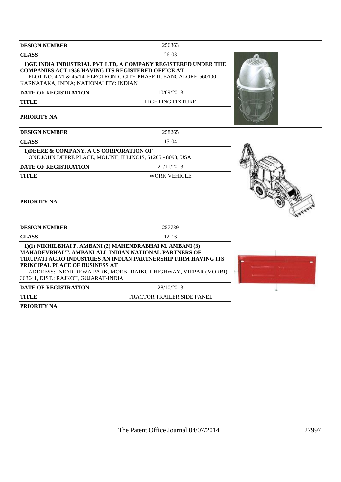| <b>DESIGN NUMBER</b>                                                                                 | 256363                                                                                                                                                                                                                                                  |  |
|------------------------------------------------------------------------------------------------------|---------------------------------------------------------------------------------------------------------------------------------------------------------------------------------------------------------------------------------------------------------|--|
| <b>CLASS</b>                                                                                         | 26-03                                                                                                                                                                                                                                                   |  |
| <b>COMPANIES ACT 1956 HAVING ITS REGISTERED OFFICE AT</b><br>KARNATAKA, INDIA; NATIONALITY: INDIAN   | 1) GE INDIA INDUSTRIAL PVT LTD, A COMPANY REGISTERED UNDER THE<br>PLOT NO. 42/1 & 45/14, ELECTRONIC CITY PHASE II, BANGALORE-560100,                                                                                                                    |  |
| <b>DATE OF REGISTRATION</b>                                                                          | 10/09/2013                                                                                                                                                                                                                                              |  |
| <b>TITLE</b>                                                                                         | <b>LIGHTING FIXTURE</b>                                                                                                                                                                                                                                 |  |
| PRIORITY NA                                                                                          |                                                                                                                                                                                                                                                         |  |
| <b>DESIGN NUMBER</b>                                                                                 | 258265                                                                                                                                                                                                                                                  |  |
| <b>CLASS</b>                                                                                         | $15-04$                                                                                                                                                                                                                                                 |  |
| 1) DEERE & COMPANY, A US CORPORATION OF<br>ONE JOHN DEERE PLACE, MOLINE, ILLINOIS, 61265 - 8098, USA |                                                                                                                                                                                                                                                         |  |
| <b>DATE OF REGISTRATION</b>                                                                          | 21/11/2013                                                                                                                                                                                                                                              |  |
| <b>TITLE</b>                                                                                         | <b>WORK VEHICLE</b>                                                                                                                                                                                                                                     |  |
| <b>PRIORITY NA</b>                                                                                   |                                                                                                                                                                                                                                                         |  |
| <b>DESIGN NUMBER</b>                                                                                 | 257789                                                                                                                                                                                                                                                  |  |
| <b>CLASS</b>                                                                                         | $12 - 16$                                                                                                                                                                                                                                               |  |
| PRINCIPAL PLACE OF BUSINESS AT<br>363641, DIST.: RAJKOT, GUJARAT-INDIA                               | 1)(1) NIKHILBHAI P. AMBANI (2) MAHENDRABHAI M. AMBANI (3)<br>MAHADEVBHAI T. AMBANI ALL INDIAN NATIONAL PARTNERS OF<br>TIRUPATI AGRO INDUSTRIES AN INDIAN PARTNERSHIP FIRM HAVING ITS<br>ADDRESS:- NEAR REWA PARK, MORBI-RAJKOT HIGHWAY, VIRPAR (MORBI)- |  |
| <b>DATE OF REGISTRATION</b>                                                                          | 28/10/2013                                                                                                                                                                                                                                              |  |
| <b>TITLE</b>                                                                                         | <b>TRACTOR TRAILER SIDE PANEL</b>                                                                                                                                                                                                                       |  |
| <b>PRIORITY NA</b>                                                                                   |                                                                                                                                                                                                                                                         |  |